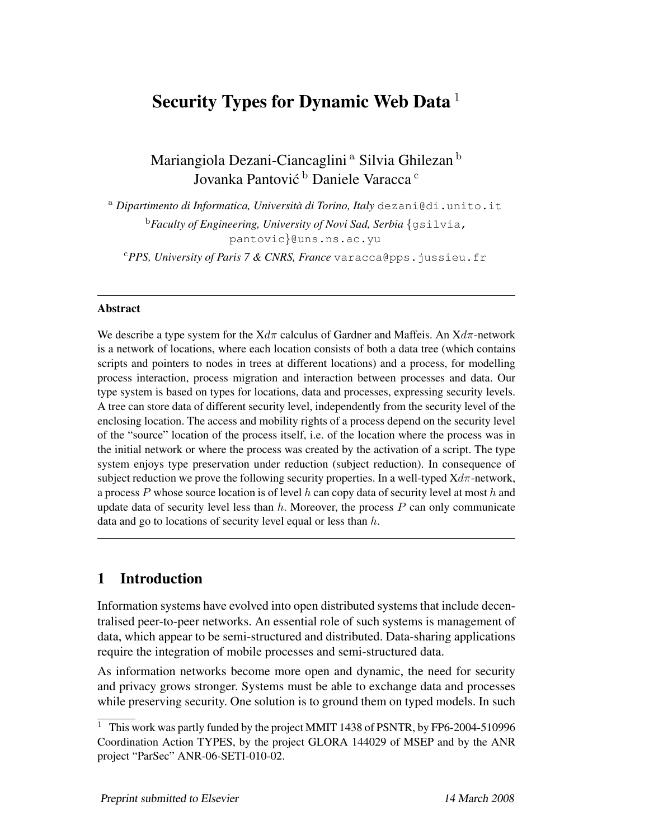# Security Types for Dynamic Web Data  $<sup>1</sup>$ </sup>

Mariangiola Dezani-Ciancaglini<sup>a</sup> Silvia Ghilezan<sup>b</sup> Jovanka Pantović <sup>b</sup> Daniele Varacca <sup>c</sup>

<sup>a</sup> *Dipartimento di Informatica, Universita di Torino, Italy `* dezani@di.unito.it <sup>b</sup>*Faculty of Engineering, University of Novi Sad, Serbia* {gsilvia, pantovic}@uns.ns.ac.yu

<sup>c</sup>*PPS, University of Paris 7 & CNRS, France* varacca@pps.jussieu.fr

#### Abstract

We describe a type system for the  $Xd\pi$  calculus of Gardner and Maffeis. An  $Xd\pi$ -network is a network of locations, where each location consists of both a data tree (which contains scripts and pointers to nodes in trees at different locations) and a process, for modelling process interaction, process migration and interaction between processes and data. Our type system is based on types for locations, data and processes, expressing security levels. A tree can store data of different security level, independently from the security level of the enclosing location. The access and mobility rights of a process depend on the security level of the "source" location of the process itself, i.e. of the location where the process was in the initial network or where the process was created by the activation of a script. The type system enjoys type preservation under reduction (subject reduction). In consequence of subject reduction we prove the following security properties. In a well-typed  $Xd\pi$ -network, a process P whose source location is of level h can copy data of security level at most h and update data of security level less than  $h$ . Moreover, the process  $P$  can only communicate data and go to locations of security level equal or less than  $h$ .

# 1 Introduction

Information systems have evolved into open distributed systems that include decentralised peer-to-peer networks. An essential role of such systems is management of data, which appear to be semi-structured and distributed. Data-sharing applications require the integration of mobile processes and semi-structured data.

As information networks become more open and dynamic, the need for security and privacy grows stronger. Systems must be able to exchange data and processes while preserving security. One solution is to ground them on typed models. In such

<sup>&</sup>lt;sup>1</sup> This work was partly funded by the project MMIT 1438 of PSNTR, by FP6-2004-510996 Coordination Action TYPES, by the project GLORA 144029 of MSEP and by the ANR project "ParSec" ANR-06-SETI-010-02.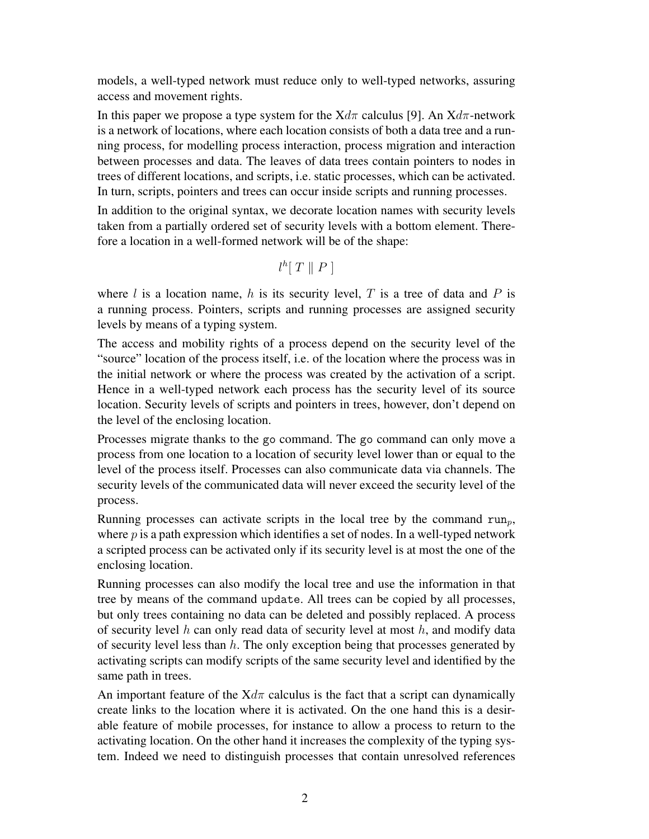models, a well-typed network must reduce only to well-typed networks, assuring access and movement rights.

In this paper we propose a type system for the  $Xd\pi$  calculus [9]. An  $Xd\pi$ -network is a network of locations, where each location consists of both a data tree and a running process, for modelling process interaction, process migration and interaction between processes and data. The leaves of data trees contain pointers to nodes in trees of different locations, and scripts, i.e. static processes, which can be activated. In turn, scripts, pointers and trees can occur inside scripts and running processes.

In addition to the original syntax, we decorate location names with security levels taken from a partially ordered set of security levels with a bottom element. Therefore a location in a well-formed network will be of the shape:

$$
l^h[T \parallel P]
$$

where l is a location name, h is its security level, T is a tree of data and P is a running process. Pointers, scripts and running processes are assigned security levels by means of a typing system.

The access and mobility rights of a process depend on the security level of the "source" location of the process itself, i.e. of the location where the process was in the initial network or where the process was created by the activation of a script. Hence in a well-typed network each process has the security level of its source location. Security levels of scripts and pointers in trees, however, don't depend on the level of the enclosing location.

Processes migrate thanks to the go command. The go command can only move a process from one location to a location of security level lower than or equal to the level of the process itself. Processes can also communicate data via channels. The security levels of the communicated data will never exceed the security level of the process.

Running processes can activate scripts in the local tree by the command  $run_n$ , where  $p$  is a path expression which identifies a set of nodes. In a well-typed network a scripted process can be activated only if its security level is at most the one of the enclosing location.

Running processes can also modify the local tree and use the information in that tree by means of the command update. All trees can be copied by all processes, but only trees containing no data can be deleted and possibly replaced. A process of security level  $h$  can only read data of security level at most  $h$ , and modify data of security level less than  $h$ . The only exception being that processes generated by activating scripts can modify scripts of the same security level and identified by the same path in trees.

An important feature of the  $Xd\pi$  calculus is the fact that a script can dynamically create links to the location where it is activated. On the one hand this is a desirable feature of mobile processes, for instance to allow a process to return to the activating location. On the other hand it increases the complexity of the typing system. Indeed we need to distinguish processes that contain unresolved references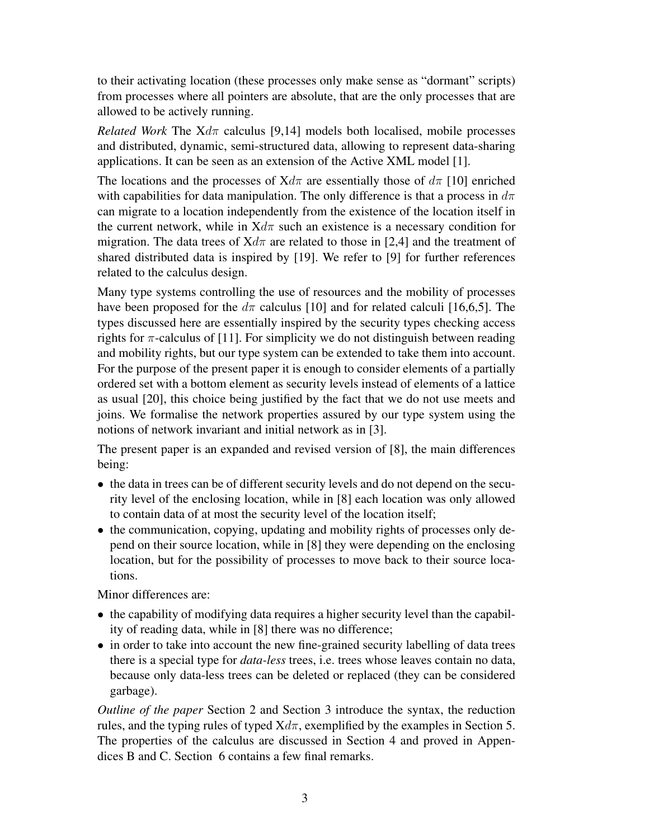to their activating location (these processes only make sense as "dormant" scripts) from processes where all pointers are absolute, that are the only processes that are allowed to be actively running.

*Related Work* The  $Xd\pi$  calculus [9,14] models both localised, mobile processes and distributed, dynamic, semi-structured data, allowing to represent data-sharing applications. It can be seen as an extension of the Active XML model [1].

The locations and the processes of  $Xd\pi$  are essentially those of  $d\pi$  [10] enriched with capabilities for data manipulation. The only difference is that a process in  $d\pi$ can migrate to a location independently from the existence of the location itself in the current network, while in  $Xd\pi$  such an existence is a necessary condition for migration. The data trees of  $Xd\pi$  are related to those in [2,4] and the treatment of shared distributed data is inspired by [19]. We refer to [9] for further references related to the calculus design.

Many type systems controlling the use of resources and the mobility of processes have been proposed for the  $d\pi$  calculus [10] and for related calculi [16,6,5]. The types discussed here are essentially inspired by the security types checking access rights for  $\pi$ -calculus of [11]. For simplicity we do not distinguish between reading and mobility rights, but our type system can be extended to take them into account. For the purpose of the present paper it is enough to consider elements of a partially ordered set with a bottom element as security levels instead of elements of a lattice as usual [20], this choice being justified by the fact that we do not use meets and joins. We formalise the network properties assured by our type system using the notions of network invariant and initial network as in [3].

The present paper is an expanded and revised version of [8], the main differences being:

- the data in trees can be of different security levels and do not depend on the security level of the enclosing location, while in [8] each location was only allowed to contain data of at most the security level of the location itself;
- the communication, copying, updating and mobility rights of processes only depend on their source location, while in [8] they were depending on the enclosing location, but for the possibility of processes to move back to their source locations.

Minor differences are:

- the capability of modifying data requires a higher security level than the capability of reading data, while in [8] there was no difference;
- in order to take into account the new fine-grained security labelling of data trees there is a special type for *data-less* trees, i.e. trees whose leaves contain no data, because only data-less trees can be deleted or replaced (they can be considered garbage).

*Outline of the paper* Section 2 and Section 3 introduce the syntax, the reduction rules, and the typing rules of typed  $Xd\pi$ , exemplified by the examples in Section 5. The properties of the calculus are discussed in Section 4 and proved in Appendices B and C. Section 6 contains a few final remarks.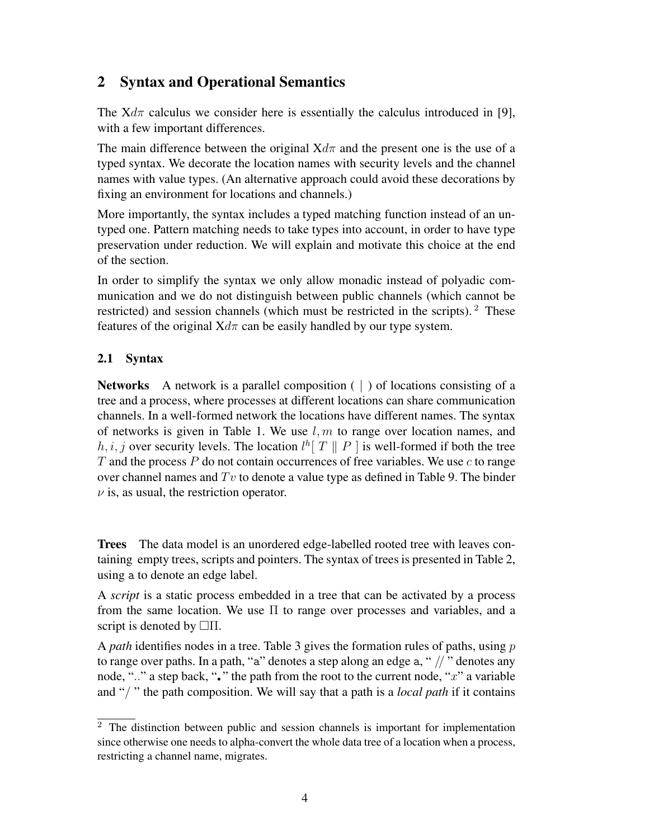# 2 Syntax and Operational Semantics

The  $Xd\pi$  calculus we consider here is essentially the calculus introduced in [9], with a few important differences.

The main difference between the original  $Xd\pi$  and the present one is the use of a typed syntax. We decorate the location names with security levels and the channel names with value types. (An alternative approach could avoid these decorations by fixing an environment for locations and channels.)

More importantly, the syntax includes a typed matching function instead of an untyped one. Pattern matching needs to take types into account, in order to have type preservation under reduction. We will explain and motivate this choice at the end of the section.

In order to simplify the syntax we only allow monadic instead of polyadic communication and we do not distinguish between public channels (which cannot be restricted) and session channels (which must be restricted in the scripts). <sup>2</sup> These features of the original  $Xd\pi$  can be easily handled by our type system.

### 2.1 Syntax

**Networks** A network is a parallel composition  $( )$  of locations consisting of a tree and a process, where processes at different locations can share communication channels. In a well-formed network the locations have different names. The syntax of networks is given in Table 1. We use  $l, m$  to range over location names, and  $h, i, j$  over security levels. The location  $l^h[T \parallel P]$  is well-formed if both the tree T and the process P do not contain occurrences of free variables. We use c to range over channel names and  $Tv$  to denote a value type as defined in Table 9. The binder  $\nu$  is, as usual, the restriction operator.

Trees The data model is an unordered edge-labelled rooted tree with leaves containing empty trees, scripts and pointers. The syntax of trees is presented in Table 2, using a to denote an edge label.

A *script* is a static process embedded in a tree that can be activated by a process from the same location. We use Π to range over processes and variables, and a script is denoted by  $\Box \Pi$ .

A *path* identifies nodes in a tree. Table 3 gives the formation rules of paths, using p to range over paths. In a path, "a" denotes a step along an edge a, " $\frac{1}{2}$ " denotes any node, ".." a step back, " $\cdot$ " the path from the root to the current node, "x" a variable and "/ " the path composition. We will say that a path is a *local path* if it contains

 $\overline{2}$  The distinction between public and session channels is important for implementation since otherwise one needs to alpha-convert the whole data tree of a location when a process, restricting a channel name, migrates.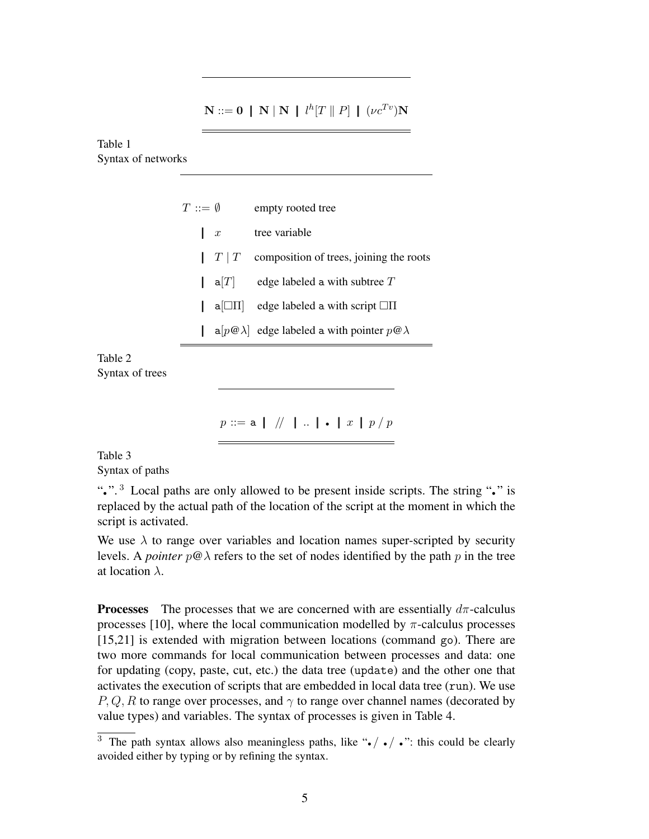$\mathbf{N} ::= \mathbf{0} \;\; | \;\; \mathbf{N} \; | \; \mathbf{N} \;\; | \;\; l^h | T \parallel P | \;\; | \;\; (\nu c^{Tv}) \mathbf{N}$ 

Table 1 Syntax of networks

| $T\,:=\,\emptyset$ |                     | empty rooted tree                                           |
|--------------------|---------------------|-------------------------------------------------------------|
|                    |                     |                                                             |
| $\mathbf{x}$       |                     | tree variable                                               |
|                    | $\mid T \mid T$     | composition of trees, joining the roots                     |
|                    | $  \mathsf{a}[T]  $ | edge labeled a with subtree $T$                             |
|                    | $ a \Box H $        | edge labeled a with script $\Box \Pi$                       |
|                    |                     | $a[p@]\overline{Q}$ edge labeled a with pointer $p@\lambda$ |
|                    |                     |                                                             |

Table 2 Syntax of trees

 $p ::= a \mid // \mid .. \mid . \mid x \mid p / p$ 

Table 3 Syntax of paths

"• ". <sup>3</sup> Local paths are only allowed to be present inside scripts. The string "• " is replaced by the actual path of the location of the script at the moment in which the script is activated.

We use  $\lambda$  to range over variables and location names super-scripted by security levels. A *pointer*  $p@\lambda$  refers to the set of nodes identified by the path p in the tree at location  $\lambda$ .

**Processes** The processes that we are concerned with are essentially  $d\pi$ -calculus processes [10], where the local communication modelled by  $\pi$ -calculus processes [15,21] is extended with migration between locations (command go). There are two more commands for local communication between processes and data: one for updating (copy, paste, cut, etc.) the data tree (update) and the other one that activates the execution of scripts that are embedded in local data tree (run). We use P, Q, R to range over processes, and  $\gamma$  to range over channel names (decorated by value types) and variables. The syntax of processes is given in Table 4.

 $\overline{3}$  The path syntax allows also meaningless paths, like " $\bullet$   $\prime$   $\bullet$  ": this could be clearly avoided either by typing or by refining the syntax.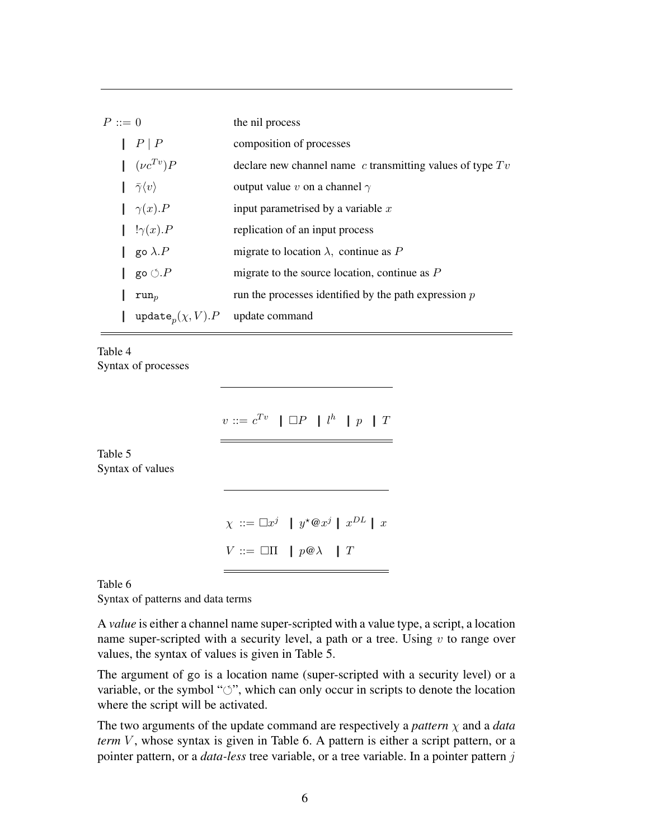| $P ::= 0$ |                                                    | the nil process                                               |
|-----------|----------------------------------------------------|---------------------------------------------------------------|
|           | $\mid P \mid P$                                    | composition of processes                                      |
|           | $\int (\nu c^{Tv}) P$                              | declare new channel name $c$ transmitting values of type $Tv$ |
|           | $ \bar{\gamma}\langle v \rangle$                   | output value v on a channel $\gamma$                          |
|           | $\int \gamma(x) \cdot P$                           | input parametrised by a variable $x$                          |
|           | $!\gamma(x)$ . P                                   | replication of an input process                               |
|           | $\parallel$ go $\lambda.P$                         | migrate to location $\lambda$ , continue as P                 |
|           | go $\circlearrowleft.P$                            | migrate to the source location, continue as $P$               |
|           | $run_{n}$                                          | run the processes identified by the path expression $p$       |
|           | update <sub>n</sub> $(\chi, V)$ . P update command |                                                               |

Table 4 Syntax of processes

 $v ::= c^{Tv} \parallel \Box P \parallel l^h \parallel p \parallel T$ 

Table 5 Syntax of values

```
\chi ::= \Box x^j | y^*@x^j | x^{DL} | xV ::= \Box \Pi \mid p \mathcal{Q} \lambda \mid T
```
Table 6

Syntax of patterns and data terms

A *value* is either a channel name super-scripted with a value type, a script, a location name super-scripted with a security level, a path or a tree. Using  $v$  to range over values, the syntax of values is given in Table 5.

The argument of go is a location name (super-scripted with a security level) or a variable, or the symbol " $\circ$ ", which can only occur in scripts to denote the location where the script will be activated.

The two arguments of the update command are respectively a *pattern* χ and a *data term* V, whose syntax is given in Table 6. A pattern is either a script pattern, or a pointer pattern, or a *data-less* tree variable, or a tree variable. In a pointer pattern j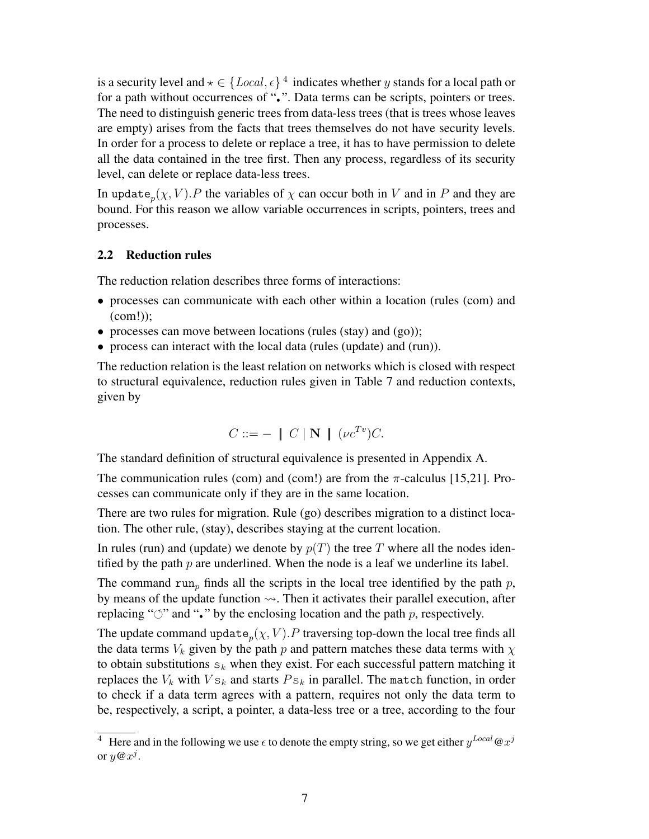is a security level and  $\star \in \{Local, \epsilon\}$ <sup>4</sup> indicates whether y stands for a local path or for a path without occurrences of ".". Data terms can be scripts, pointers or trees. The need to distinguish generic trees from data-less trees (that is trees whose leaves are empty) arises from the facts that trees themselves do not have security levels. In order for a process to delete or replace a tree, it has to have permission to delete all the data contained in the tree first. Then any process, regardless of its security level, can delete or replace data-less trees.

In update  $_p(\chi, V)$ . P the variables of  $\chi$  can occur both in V and in P and they are bound. For this reason we allow variable occurrences in scripts, pointers, trees and processes.

#### 2.2 Reduction rules

The reduction relation describes three forms of interactions:

- processes can communicate with each other within a location (rules (com) and (com!));
- processes can move between locations (rules (stay) and (go));
- process can interact with the local data (rules (update) and (run)).

The reduction relation is the least relation on networks which is closed with respect to structural equivalence, reduction rules given in Table 7 and reduction contexts, given by

$$
C ::= - \mid C \mid \mathbf{N} \mid (\nu c^{Tv})C.
$$

The standard definition of structural equivalence is presented in Appendix A.

The communication rules (com) and (com!) are from the  $\pi$ -calculus [15,21]. Processes can communicate only if they are in the same location.

There are two rules for migration. Rule (go) describes migration to a distinct location. The other rule, (stay), describes staying at the current location.

In rules (run) and (update) we denote by  $p(T)$  the tree T where all the nodes identified by the path  $p$  are underlined. When the node is a leaf we underline its label.

The command run<sub>p</sub> finds all the scripts in the local tree identified by the path  $p$ , by means of the update function  $\sim$ . Then it activates their parallel execution, after replacing " $\circ$ " and "." by the enclosing location and the path p, respectively.

The update command update  $_p(\chi, V)$ . P traversing top-down the local tree finds all the data terms  $V_k$  given by the path p and pattern matches these data terms with  $\chi$ to obtain substitutions  $s_k$  when they exist. For each successful pattern matching it replaces the  $V_k$  with  $V s_k$  and starts  $Ps_k$  in parallel. The match function, in order to check if a data term agrees with a pattern, requires not only the data term to be, respectively, a script, a pointer, a data-less tree or a tree, according to the four

<sup>&</sup>lt;sup>4</sup> Here and in the following we use  $\epsilon$  to denote the empty string, so we get either  $y^{Local}$   $@x^j$ or  $y@x^j$ .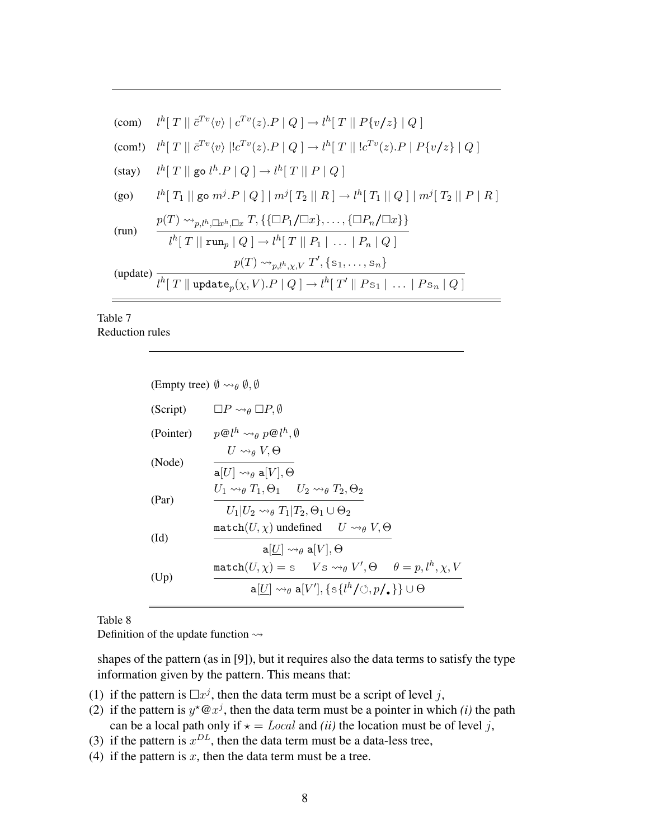$$
\begin{array}{ll}\n\text{(com)} & l^h[T \mid \overline{c}^{Tv}(v) \mid c^{Tv}(z).P \mid Q \mid \rightarrow l^h[T \mid P\{v/z\} \mid Q \mid \\
\text{(com!)} & l^h[T \mid \overline{c}^{Tv}(v) \mid !c^{Tv}(z).P \mid Q \mid \rightarrow l^h[T \mid \mid !c^{Tv}(z).P \mid P\{v/z\} \mid Q \mid \\
\text{(stay)} & l^h[T \mid \text{go } l^h.P \mid Q \mid \rightarrow l^h[T \mid \mid P \mid Q \mid \\
\text{(go)} & l^h[T_1 \mid \text{go } m^j.P \mid Q \mid m^j[T_2 \mid \mid R \mid \rightarrow l^h[T_1 \mid \mid Q \mid m^j[T_2 \mid \mid P \mid R \mid \n\\
\text{(run)} & \frac{p(T) \rightsquigarrow_{p,l^h,\Box x} T, \{\{\Box P_1/\Box x\}, \dots, \{\Box P_n/\Box x\}\}}{l^h[T \mid \text{run}_p \mid Q \mid \rightarrow l^h[T \mid \mid P_1 \mid \dots \mid P_n \mid Q \mid \n\\
\text{(update)} & \frac{p(T) \rightsquigarrow_{p,l^h,\chi,V} T', \{s_1, \dots, s_n\}}{l^h[T \mid \text{update}_p(\chi, V).P \mid Q \mid \rightarrow l^h[T' \mid \mid Ps_1 \mid \dots \mid Ps_n \mid Q \mid \n\end{array}
$$

### Table 7 Reduction rules

| (Empty tree) $\emptyset \rightsquigarrow_{\theta} \emptyset$ , $\emptyset$ |                                                                                                                                                            |  |  |  |
|----------------------------------------------------------------------------|------------------------------------------------------------------------------------------------------------------------------------------------------------|--|--|--|
| (Script)                                                                   | $\Box P \leadsto_{\theta} \Box P, \emptyset$                                                                                                               |  |  |  |
| (Pointer)                                                                  | $p@l^h \rightsquigarrow_\theta p@l^h$ , $\emptyset$                                                                                                        |  |  |  |
| (Node)                                                                     | $U \rightsquigarrow_{\theta} V$ , $\Theta$<br>$\mathtt{a}[U] \rightsquigarrow_{\theta} \mathtt{a}[V], \Theta$                                              |  |  |  |
| (Par)                                                                      | $U_1 \rightsquigarrow_{\theta} T_1, \Theta_1 \quad U_2 \rightsquigarrow_{\theta} T_2, \Theta_2$<br>$U_1 U_2 \rightarrow g T_1 T_2, \Theta_1 \cup \Theta_2$ |  |  |  |
| $(\mathrm{Id})$                                                            | match $(U, \chi)$ undefined $U \rightsquigarrow_{\theta} V, \Theta$<br>$\mathtt{a}[U] \rightsquigarrow_{\theta} \mathtt{a}[V], \Theta$                     |  |  |  |
| (Up)                                                                       | $\text{match}(U, \chi) = s$ $V s \rightsquigarrow_{\theta} V', \Theta$ $\theta = p, l^h, \chi, V$                                                          |  |  |  |
|                                                                            | $a[U] \rightsquigarrow_{\theta} a[V'], \{s\{l^h/\Diamond, p/\Box\}\}\cup \Theta$                                                                           |  |  |  |

Table 8

Definition of the update function  $\rightsquigarrow$ 

shapes of the pattern (as in [9]), but it requires also the data terms to satisfy the type information given by the pattern. This means that:

- (1) if the pattern is  $\Box x^j$ , then the data term must be a script of level j,
- (2) if the pattern is  $y^* @ x^j$ , then the data term must be a pointer in which *(i)* the path can be a local path only if  $\star = Local$  and *(ii)* the location must be of level j,
- (3) if the pattern is  $x^{DL}$ , then the data term must be a data-less tree,
- (4) if the pattern is  $x$ , then the data term must be a tree.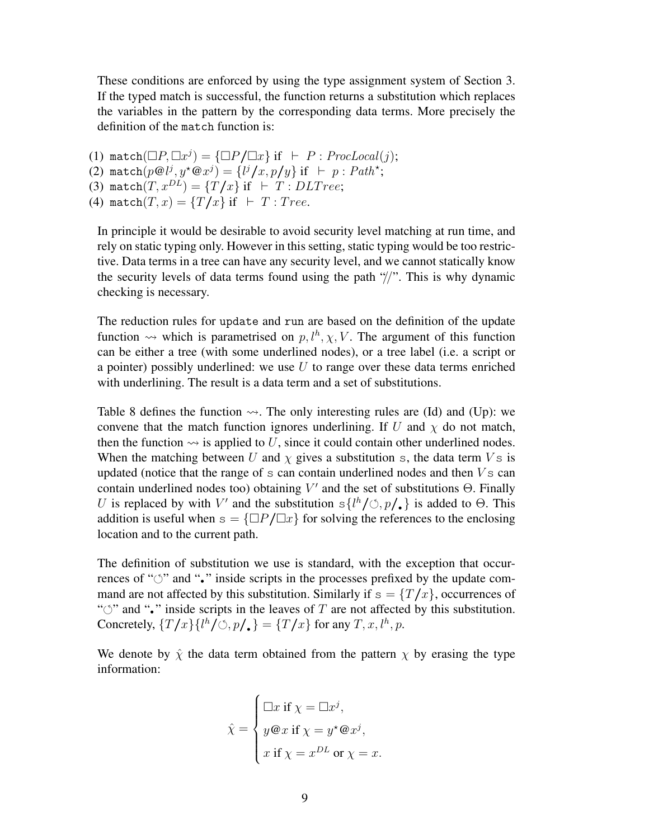These conditions are enforced by using the type assignment system of Section 3. If the typed match is successful, the function returns a substitution which replaces the variables in the pattern by the corresponding data terms. More precisely the definition of the match function is:

(1) match $(\Box P, \Box x^j) = {\Box P / \Box x}$  if  $\vdash P : \text{ProcLocal}(j);$ (2) match $(p@l^j, y^\star @x^j) = \{l^j/x, p/y\}$  if  $\vdash p : Path^*;$ (3) match $(T, x^{DL}) = \{T/x\}$  if  $\vdash T : DLT$  ree;

(4) match $(T, x) = \{T/x\}$  if  $\vdash T$  : Tree.

In principle it would be desirable to avoid security level matching at run time, and rely on static typing only. However in this setting, static typing would be too restrictive. Data terms in a tree can have any security level, and we cannot statically know the security levels of data terms found using the path  $\frac{1}{2}$ . This is why dynamic checking is necessary.

The reduction rules for update and run are based on the definition of the update function  $\rightsquigarrow$  which is parametrised on  $p, l^h, \chi, V$ . The argument of this function can be either a tree (with some underlined nodes), or a tree label (i.e. a script or a pointer) possibly underlined: we use  $U$  to range over these data terms enriched with underlining. The result is a data term and a set of substitutions.

Table 8 defines the function  $\sim$ . The only interesting rules are (Id) and (Up): we convene that the match function ignores underlining. If U and  $\chi$  do not match, then the function  $\rightsquigarrow$  is applied to U, since it could contain other underlined nodes. When the matching between U and  $\chi$  gives a substitution s, the data term  $V$ s is updated (notice that the range of  $s$  can contain underlined nodes and then  $V s$  can contain underlined nodes too) obtaining  $V'$  and the set of substitutions  $\Theta$ . Finally U is replaced by with V' and the substitution  $s\{l^h/\mathcal{O}, p/\bullet\}$  is added to  $\Theta$ . This addition is useful when  $s = {\square}P/{\square}x$  for solving the references to the enclosing location and to the current path.

The definition of substitution we use is standard, with the exception that occurrences of " $\circ$ " and " $\cdot$ " inside scripts in the processes prefixed by the update command are not affected by this substitution. Similarly if  $s = \{T/x\}$ , occurrences of " $\circ$ " and "•" inside scripts in the leaves of T are not affected by this substitution. Concretely,  $\{T/x\}\{l^h/\circlearrowleft, p/\blacksquare\} = \{T/x\}$  for any  $T, x, l^h, p$ .

We denote by  $\hat{\chi}$  the data term obtained from the pattern  $\chi$  by erasing the type information:

$$
\hat{\chi} = \begin{cases}\n\Box x \text{ if } \chi = \Box x^j, \\
y \, \text{Q} \, x \text{ if } \chi = y^* \, \text{Q} \, x^j, \\
x \text{ if } \chi = x^{DL} \text{ or } \chi = x.\n\end{cases}
$$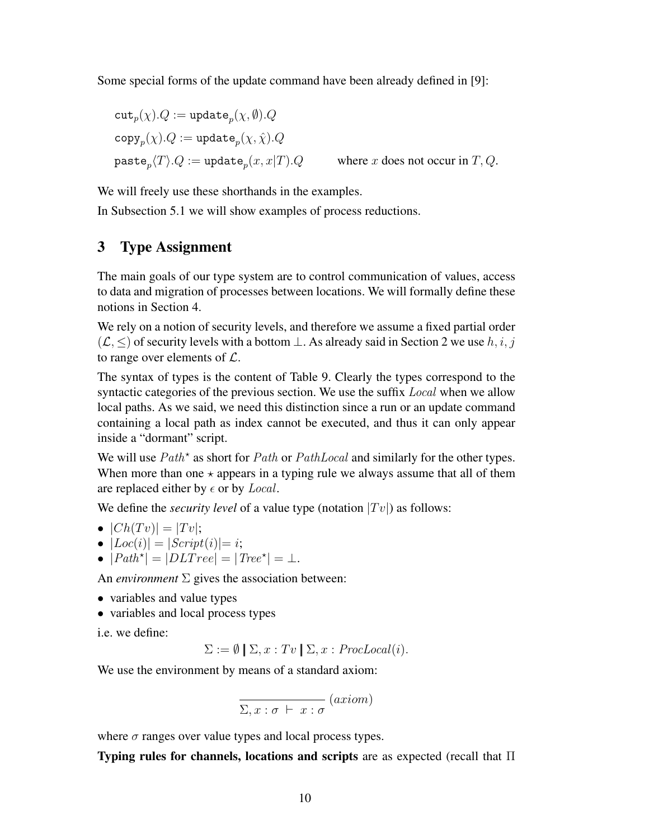Some special forms of the update command have been already defined in [9]:

$$
\begin{aligned} &\texttt{cut}_p(\chi).Q := \texttt{update}_p(\chi,\emptyset).Q \\ &\texttt{copy}_p(\chi).Q := \texttt{update}_p(\chi,\hat{\chi}).Q \\ &\texttt{paste}_p\langle T \rangle.Q := \texttt{update}_p(x,x|T).Q \qquad \text{ where $x$ does not occur in $T,Q$.} \end{aligned}
$$

We will freely use these shorthands in the examples.

In Subsection 5.1 we will show examples of process reductions.

# 3 Type Assignment

The main goals of our type system are to control communication of values, access to data and migration of processes between locations. We will formally define these notions in Section 4.

We rely on a notion of security levels, and therefore we assume a fixed partial order  $(\mathcal{L}, \leq)$  of security levels with a bottom  $\perp$ . As already said in Section 2 we use  $h, i, j$ to range over elements of  $\mathcal{L}$ .

The syntax of types is the content of Table 9. Clearly the types correspond to the syntactic categories of the previous section. We use the suffix *Local* when we allow local paths. As we said, we need this distinction since a run or an update command containing a local path as index cannot be executed, and thus it can only appear inside a "dormant" script.

We will use  $Path^*$  as short for  $Path$  or  $PathLocal$  and similarly for the other types. When more than one  $\star$  appears in a typing rule we always assume that all of them are replaced either by  $\epsilon$  or by *Local*.

We define the *security level* of a value type (notation  $|Tv|$ ) as follows:

- $|Ch(Tv)| = |Tv|$ ;
- $|Loc(i)| = |Script(i)| = i;$
- $|Path^{\star}| = |DLTree| = |Tree^{\star}| = \bot.$

An *environment*  $\Sigma$  gives the association between:

- variables and value types
- variables and local process types

i.e. we define:

 $\Sigma := \emptyset \mid \Sigma, x : Tv \mid \Sigma, x : Proof (i).$ 

We use the environment by means of a standard axiom:

$$
\overline{\Sigma, x : \sigma \vdash x : \sigma} \ (axiom)
$$

where  $\sigma$  ranges over value types and local process types.

Typing rules for channels, locations and scripts are as expected (recall that  $\Pi$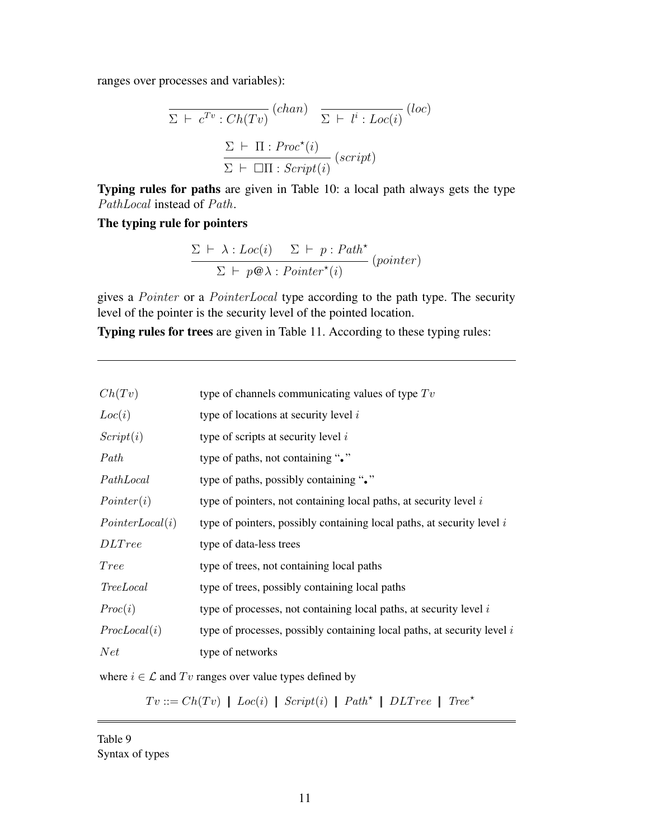ranges over processes and variables):

$$
\overline{\Sigma \vdash c^{Tv} : Ch(Tv)} \quad (chan) \quad \overline{\Sigma \vdash l^i : Loc(i)} \quad (loc)
$$
\n
$$
\frac{\Sigma \vdash \Pi : Proc^*(i)}{\Sigma \vdash \Box \Pi : Script(i)} \quad (script)
$$

Typing rules for paths are given in Table 10: a local path always gets the type PathLocal instead of Path.

# The typing rule for pointers

$$
\frac{\Sigma \vdash \lambda : Loc(i) \quad \Sigma \vdash p : Path^{\star}}{\Sigma \vdash p \circledast \lambda : Pointer^{\star}(i)} \ (pointer)
$$

gives a Pointer or a PointerLocal type according to the path type. The security level of the pointer is the security level of the pointed location.

Typing rules for trees are given in Table 11. According to these typing rules:

| Ch(Tv)           | type of channels communicating values of type $Tv$                        |
|------------------|---------------------------------------------------------------------------|
| Loc(i)           | type of locations at security level $i$                                   |
| Script(i)        | type of scripts at security level $i$                                     |
| Path             | type of paths, not containing "."                                         |
| PathLocal        | type of paths, possibly containing "."                                    |
| Pointer(i)       | type of pointers, not containing local paths, at security level $i$       |
| Pointer Local(i) | type of pointers, possibly containing local paths, at security level $i$  |
| <i>DLTree</i>    | type of data-less trees                                                   |
| <i>Tree</i>      | type of trees, not containing local paths                                 |
| TreeLocal        | type of trees, possibly containing local paths                            |
| Proc(i)          | type of processes, not containing local paths, at security level $i$      |
| ProcLocal(i)     | type of processes, possibly containing local paths, at security level $i$ |
| Net              | type of networks                                                          |
|                  |                                                                           |

where  $i \in \mathcal{L}$  and  $Tv$  ranges over value types defined by

 $Tv ::= Ch(Tv) \mid Loc(i) \mid Script(i) \mid Path^* \mid DLTree \mid Tree^*$ 

Table 9 Syntax of types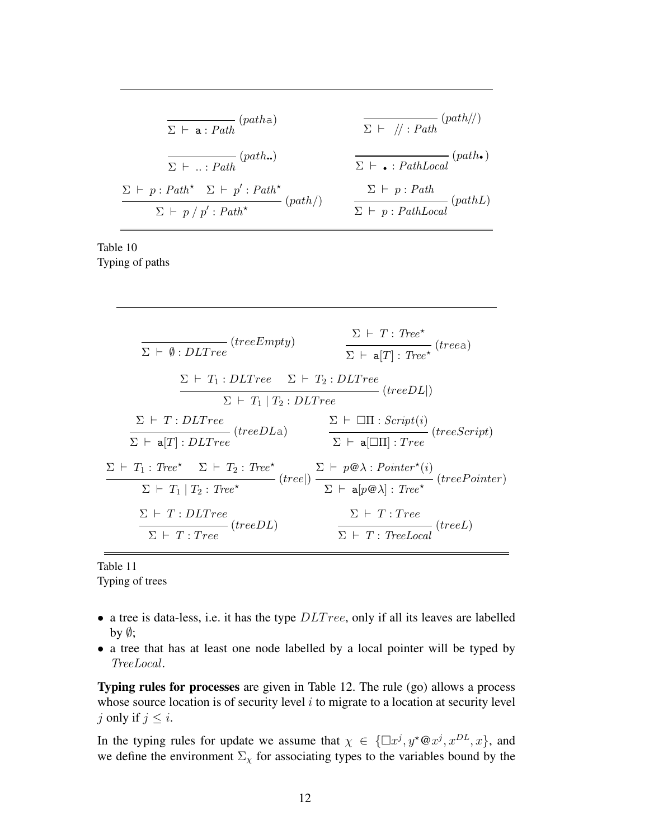$$
\frac{\sum \vdash a : Path}{\sum \vdash ... : Path} (path.)
$$
\n
$$
\frac{\sum \vdash / / : Path}{\sum \vdash ... : Path} (path.)
$$
\n
$$
\frac{\sum \vdash p : Path^* \sum \vdash p' : Path^*}{\sum \vdash p : Path^* \sum \vdash p' : Path^*} (path))}
$$
\n
$$
\frac{\sum \vdash p : Path}{\sum \vdash p : PathLocal} (pathL)
$$

Table 10 Typing of paths

$$
\frac{\Sigma \vdash T : Tree^*}{\Sigma \vdash \emptyset : DLTree} (treeEmpty) \qquad \frac{\Sigma \vdash T : Tree^*}{\Sigma \vdash a[T] : Tree^*} (treea)
$$
\n
$$
\frac{\Sigma \vdash T_1 : DLTree \quad \Sigma \vdash T_2 : DLTree}{\Sigma \vdash T_1 | T_2 : DLTree} (treeDL|)
$$
\n
$$
\frac{\Sigma \vdash T : DLTree}{\Sigma \vdash a[T] : DLTree} (treeDLa) \qquad \frac{\Sigma \vdash \Box \Pi : Script(i)}{\Sigma \vdash a[\Box \Pi] : Tree} (treeScript)
$$
\n
$$
\frac{\Sigma \vdash T_1 : Tree^* \quad \Sigma \vdash T_2 : Tree^*}{\Sigma \vdash a[P@\lambda] : Tree} (treePoint)
$$
\n
$$
\frac{\Sigma \vdash T : DLTree}{\Sigma \vdash T : DLTree} (treeDL) \qquad \frac{\Sigma \vdash T : Tree}{\Sigma \vdash T : Tree} (treeDL)
$$

Table 11 Typing of trees

- a tree is data-less, i.e. it has the type  $DLTree$ , only if all its leaves are labelled by  $\emptyset$ ;
- a tree that has at least one node labelled by a local pointer will be typed by TreeLocal.

Typing rules for processes are given in Table 12. The rule (go) allows a process whose source location is of security level  $i$  to migrate to a location at security level j only if  $j \leq i$ .

In the typing rules for update we assume that  $\chi \in \{\Box x^j, y^* \mathcal{Q} x^j, x^{DL}, x\}$ , and we define the environment  $\Sigma_{\chi}$  for associating types to the variables bound by the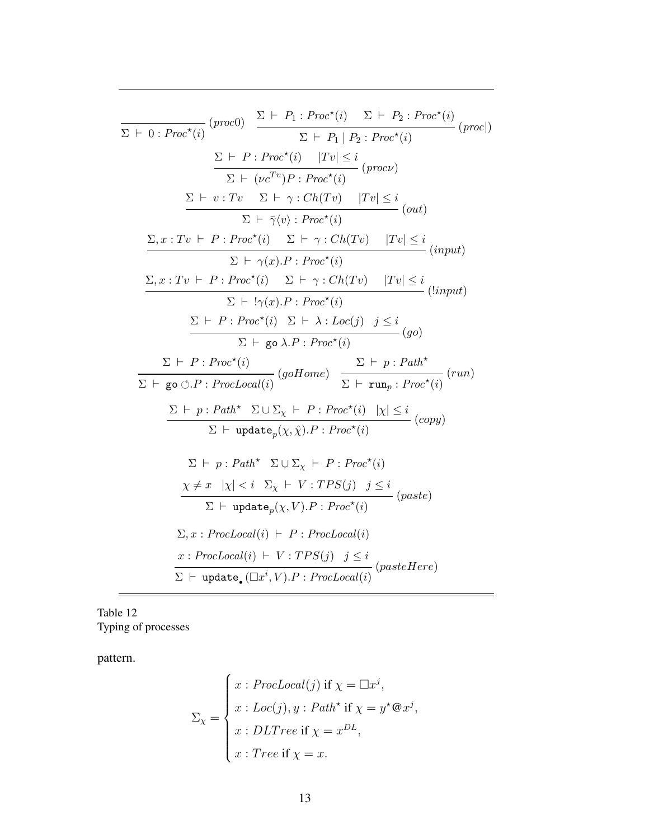$$
\frac{\sum P_{1}: Proc^{*}(i) \sum P_{2}: Proc^{*}(i) \sum P_{2}: Proc^{*}(i) \text{ } (proc))}
$$
\n
$$
\frac{\sum P_{1}: Proc^{*}(i) \quad |\text{rv}|\leq i}{\sum P_{1} \mid P_{2}: Proc^{*}(i)} \text{ } (proc))}
$$
\n
$$
\frac{\sum P_{2}: Proc^{*}(i) \quad |\text{rv}|\leq i}{\sum P_{2}: Proc^{*}(i) \quad |\text{rv}|\leq i} \text{ } (proc))}
$$
\n
$$
\frac{\sum P_{2}: Tv \quad \sum P_{3}: Ch(Tv) \quad |\text{rv}|\leq i}{\sum P_{4}: V: Tv \quad \sum P_{5}: Ch(Tv) \quad |\text{rv}|\leq i} \text{ } (out)
$$
\n
$$
\frac{\sum_{i} x: Tv \quad P_{2}: Proc^{*}(i) \quad \sum P_{3}: Ch(Tv) \quad |\text{rv}|\leq i}{\sum P_{4}: Vx: Prv \quad \sum P_{5}: Proc^{*}(i) \quad |\text{rv}|\leq i} \text{ } (input)
$$
\n
$$
\frac{\sum_{i} P_{3}: Proc^{*}(i) \quad \sum P_{4}: Ch(Tv) \quad |\text{rv}|\leq i}{\sum P_{5}: Proc^{*}(i) \quad \sum P_{6}: Proc^{*}(i) \quad |\text{rv}|\leq i} \text{ } (input)
$$
\n
$$
\frac{\sum_{i} P_{2}: Proc^{*}(i) \quad \sum_{i} P_{3}: Proc^{*}(i) \quad |\text{rv}|\leq i}{\sum P_{5}: Proc^{*}(i) \quad |\text{rv}|\leq |P_{6}: Proc^{*}(i) \quad |\text{rv}|\leq |P_{7}: Proc^{*}(i) \quad |\text{rv}|\leq |P_{7}: Pv \quad \sum P_{6}: Pv \quad \sum P_{7}: Pv \quad \sum P_{8}: Pv \quad \sum P_{9}: Pv \quad \sum P_{1}: Pv \quad \sum P_{1}: Pv \quad \sum P_{1}: Pv \quad \sum P_{1}: Pv \quad \sum P_{1}: Pv \quad \sum P_{1}: Pv \quad \sum P_{1}: Pv \quad \sum P_{2}: Pv \quad \sum P_{1}: Pv \quad \sum P_{2}: Pv \quad \sum P_{1}: Pv \quad \sum P_{2}: Pv \quad \sum P_{2}: Pv \quad \sum P_{3}: P
$$

Table 12 Typing of processes

pattern.

 $=$ 

$$
\Sigma_{\chi} = \begin{cases}\nx : ProcLocal(j) \text{ if } \chi = \Box x^j, \\
x : Loc(j), y : Path^{\star} \text{ if } \chi = y^{\star} @ x^j, \\
x : DLTree \text{ if } \chi = x^{DL}, \\
x : Tree \text{ if } \chi = x.\n\end{cases}
$$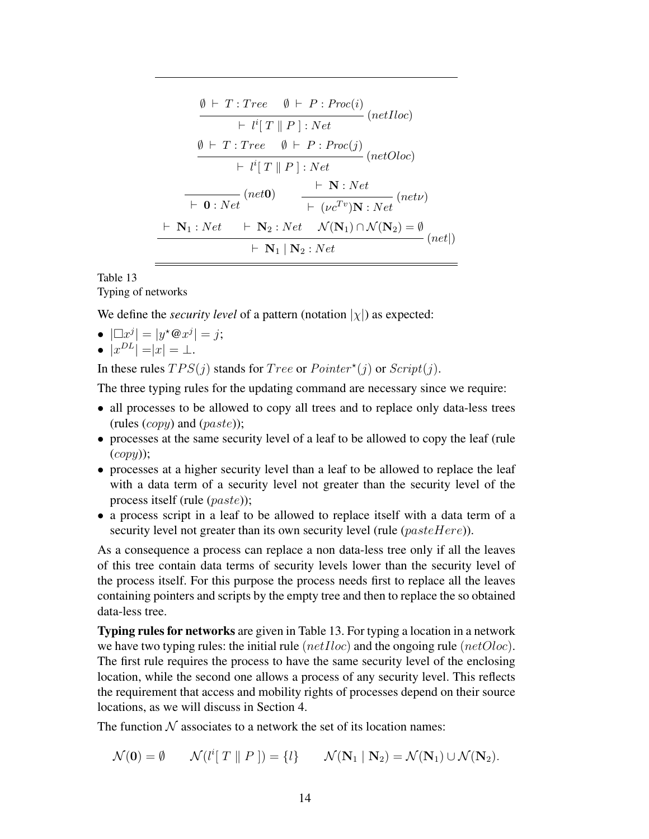$$
\emptyset \vdash T : Tree \quad \emptyset \vdash P : Proc(i) \n\vdash l^{i}[T \parallel P] : Net \quad (netIloc) \n\emptyset \vdash T : Tree \quad \emptyset \vdash P : Proc(j) \n\vdash l^{i}[T \parallel P] : Net \quad (netOloc) \n\vdash 0 : Net \quad (net0) \quad \vdash N : Net \quad (netv) \n\vdash \mathbf{0} : Net \quad (net0) \quad \vdash (\nu c^{Tv})\mathbf{N} : Net \quad (netv) \n\vdash \mathbf{N_{1}} : Net \quad \vdash \mathbf{N_{2}} : Net \quad \mathcal{N}(\mathbf{N_{1}}) \cap \mathcal{N}(\mathbf{N_{2}}) = \emptyset \n\vdash \mathbf{N_{1}} \mid \mathbf{N_{2}} : Net \quad (net|)
$$

### Table 13

Typing of networks

We define the *security level* of a pattern (notation  $|\chi|$ ) as expected:

- $|\Box x^j| = |y^* \mathbb{Q} x^j| = j;$
- $|x^{DL}| = |x| = \perp$ .

In these rules  $TPS(j)$  stands for  $Tree$  or  $Point(j)$  or  $Script(j)$ .

The three typing rules for the updating command are necessary since we require:

- all processes to be allowed to copy all trees and to replace only data-less trees (rules  $(copy)$  and  $(paste)$ );
- processes at the same security level of a leaf to be allowed to copy the leaf (rule  $(copy)$ );
- processes at a higher security level than a leaf to be allowed to replace the leaf with a data term of a security level not greater than the security level of the process itself (rule (paste));
- a process script in a leaf to be allowed to replace itself with a data term of a security level not greater than its own security level (rule  $(pasteHere)$ ).

As a consequence a process can replace a non data-less tree only if all the leaves of this tree contain data terms of security levels lower than the security level of the process itself. For this purpose the process needs first to replace all the leaves containing pointers and scripts by the empty tree and then to replace the so obtained data-less tree.

Typing rules for networks are given in Table 13. For typing a location in a network we have two typing rules: the initial rule  $(netIloc)$  and the ongoing rule  $(netOloc)$ . The first rule requires the process to have the same security level of the enclosing location, while the second one allows a process of any security level. This reflects the requirement that access and mobility rights of processes depend on their source locations, as we will discuss in Section 4.

The function  $N$  associates to a network the set of its location names:

$$
\mathcal{N}(\mathbf{0}) = \emptyset \qquad \mathcal{N}(l^{i}[T \parallel P]) = \{l\} \qquad \mathcal{N}(\mathbf{N}_{1} \mid \mathbf{N}_{2}) = \mathcal{N}(\mathbf{N}_{1}) \cup \mathcal{N}(\mathbf{N}_{2}).
$$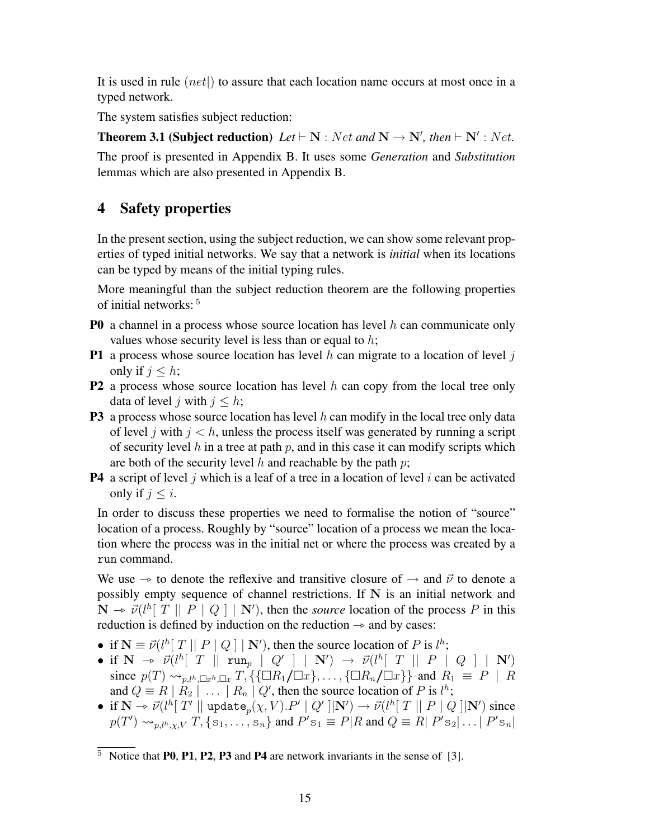It is used in rule  $(net)$  to assure that each location name occurs at most once in a typed network.

The system satisfies subject reduction:

**Theorem 3.1 (Subject reduction)**  $Let \vdash N : Net \text{ and } N \rightarrow N', \text{ then } \vdash N' : Net.$ 

The proof is presented in Appendix B. It uses some *Generation* and *Substitution* lemmas which are also presented in Appendix B.

# 4 Safety properties

In the present section, using the subject reduction, we can show some relevant properties of typed initial networks. We say that a network is *initial* when its locations can be typed by means of the initial typing rules.

More meaningful than the subject reduction theorem are the following properties of initial networks: <sup>5</sup>

- **P0** a channel in a process whose source location has level h can communicate only values whose security level is less than or equal to  $h$ ;
- **P1** a process whose source location has level h can migrate to a location of level  $j$ only if  $j \leq h$ ;
- **P2** a process whose source location has level  $h$  can copy from the local tree only data of level j with  $j \leq h$ ;
- **P3** a process whose source location has level h can modify in the local tree only data of level j with  $j < h$ , unless the process itself was generated by running a script of security level h in a tree at path p, and in this case it can modify scripts which are both of the security level h and reachable by the path  $p$ ;
- **P4** a script of level j which is a leaf of a tree in a location of level i can be activated only if  $j \leq i$ .

In order to discuss these properties we need to formalise the notion of "source" location of a process. Roughly by "source" location of a process we mean the location where the process was in the initial net or where the process was created by a run command.

We use  $\rightarrow$  to denote the reflexive and transitive closure of  $\rightarrow$  and  $\vec{\nu}$  to denote a possibly empty sequence of channel restrictions. If N is an initial network and  $\mathbf{N} \to \vec{\nu} (l^h [\ T || P | Q] || \mathbf{N}')$ , then the *source* location of the process P in this reduction is defined by induction on the reduction as and by cases: reduction is defined by induction on the reduction  $\rightarrow$  and by cases:

- if  $N \equiv \vec{v}(l^h[T || P | Q] | N')$ , then the source location of P is  $l^h$ ;
- if  $N \to \vec{\nu} (l^h [\begin{array}{c} T \end{array} || \begin{array}{c} \text{run}_p \end{array} || Q' ] || N') \to \vec{\nu} (l^h [\begin{array}{c} T \end{array} || P | Q ] || N')$ <br>since  $p(T)$  is  $\tau = \tau$  if  $[{\square}P$  ( ${\square}r]$ ) if  $[D \setminus {\square}r]$  and  $P = P | P$ since  $p(T) \rightarrow_{n,l^h,\Box x^h,\Box x} T$ , {{ $\Box R_1/\Box x$ }, ..., { $\Box R_n/\Box x$ }} and  $R_1 \equiv P \mid R$ and  $Q \equiv R | R_2 | \ldots | R_n | Q'$ , then the source location of P is  $l^h$ ;
- if  $N \to \vec{\nu}(l^h[T'] \parallel \text{update}_p(\chi, V).P' \mid Q' \parallel N') \to \vec{\nu}(l^h[T \parallel P \mid Q \parallel N')$  since  $T \text{ for all } P' \subset \text{supp}(P' \cap \text{triangle}(Q \cap P \mid P' \cap \text{triangle}(Q \cap P \mid P' \cap \text{triangle}(Q \cap P \mid P' \cap \text{triangle}(Q \cap P \mid P' \cap \text{triangle}(Q \cap P \mid P' \cap \text{triangle}(Q \cap P \mid P' \cap \text{triangle}(Q \cap P \mid P' \cap \text{triangle}(Q \cap P \mid P' \cap \text{triangle}(Q \cap$  $p(T') \rightsquigarrow_{p,l^h,\chi,V} T$ ,  $\{s_1,\ldots,s_n\}$  and  $P's_1 \equiv P|R$  and  $Q \equiv R|P's_2|\ldots|P's_n|$

 $\overline{5}$  Notice that P0, P1, P2, P3 and P4 are network invariants in the sense of [3].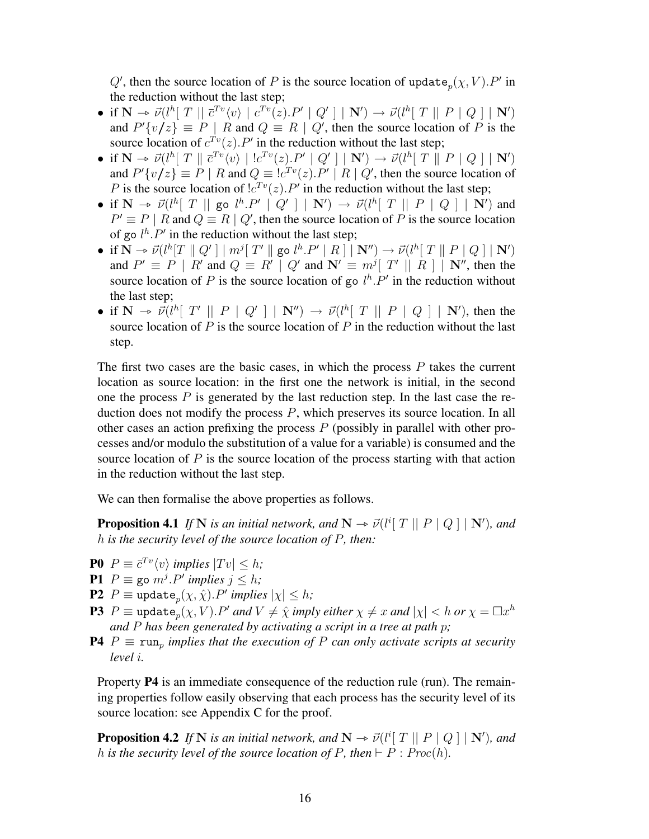$Q'$ , then the source location of P is the source location of update  $_p(\chi, V)$ . P' in the reduction without the last step;

- if  $N \to \vec{\nu} (l^h [\ T \ || \ \vec{\tau}^{Tv} \langle v \rangle \ || \ c^{Tv}(z).P' \ || \ Q' \ ] \ || \ N') \to \vec{\nu} (l^h [\ T \ || \ P \ || \ Q \ ] \ || \ N')$ <br>and  $P'(v_1/z) = P \ || \ P$  and  $Q = P \ || \ Q'$  then the source location of  $P$  is the and  $P'\{v/z\} \equiv P \mid R$  and  $Q \equiv R \mid Q'$ , then the source location of P is the source location of  $c^{Tv}(z)$ . P' in the reduction without the last step;
- if  $N \to \vec{\nu} (l^h [\ T \parallel \vec{c}^{Tv} \langle v \rangle \mid !c^{Tv} (z).P' \parallel Q'] \parallel N') \to \vec{\nu} (l^h [\ T \parallel P \parallel Q \parallel N')$ <br>and  $P'(v/c) = P \parallel P$  and  $Q = [c^{Tv} (z) P' \parallel P \parallel Q'$  then the source legation of and  $P'\{v/z\} \equiv P \mid R$  and  $Q \equiv cT^v(z) \cdot P' \mid R \mid Q'$ , then the source location of P is the source location of  $lc^{Tv}(z)$ . P' in the reduction without the last step;
- if  $N \to \vec{\nu} (l^h [\ T \ || \text{ go } l^h.P' \ || Q' ] \ || N') \to \vec{\nu} (l^h [\ T \ || P \ || Q ] \ || N')$  and<br>  $P' = P \ || P \text{ and } O = P \ || O'$  than the source location of  $P$  is the source location  $P' \equiv P | R$  and  $Q \equiv R | Q'$ , then the source location of P is the source location of go  $l^h.P'$  in the reduction without the last step;
- if  $N \to \vec{\nu} (l^h[T \parallel Q'] \mid m^j[T' \parallel \text{go } l^h.P' \mid R] \mid N'') \to \vec{\nu} (l^h[T \parallel P \mid Q] \mid N')$ <br>and  $P' = P \mid P'$  and  $Q = P' \mid Q'$  and  $N' = m^j[T' \parallel P] \mid N''$  then the and  $P' \equiv P \mid R'$  and  $Q \equiv R' \mid Q'$  and  $\mathbf{N'} \equiv m^{j} [T' \mid R] \mid \mathbf{N''}$ , then the source location of P is the source location of go  $l^h \, P'$  in the reduction without the last step;
- if  $\mathbf{N} \to \vec{\nu} (l^h [\ T' || P | Q'] | \mathbf{N}'' ) \to \vec{\nu} (l^h [\ T || P | Q] | \mathbf{N}'' )$ , then the source location of *P* is the source location of *P* in the reduction without the last source location of  $P$  is the source location of  $P$  in the reduction without the last step.

The first two cases are the basic cases, in which the process  $P$  takes the current location as source location: in the first one the network is initial, in the second one the process  $P$  is generated by the last reduction step. In the last case the reduction does not modify the process P, which preserves its source location. In all other cases an action prefixing the process  $P$  (possibly in parallel with other processes and/or modulo the substitution of a value for a variable) is consumed and the source location of  $P$  is the source location of the process starting with that action in the reduction without the last step.

We can then formalise the above properties as follows.

**Proposition 4.1** *If* N *is an initial network, and*  $N \rightarrow \vec{\nu}$  ( $l^i$ [ T || P | Q ] | N'), and h is the security level of the source location of P, then: h *is the security level of the source location of* P*, then:*

- **P0**  $P \equiv \bar{c}^{Tv} \langle v \rangle$  *implies*  $|Tv| \leq h$ ;
- **P1**  $P \equiv \text{go } m^j \cdot P'$  implies  $j \leq h$ ;
- **P2**  $P \equiv \text{update}_p(\chi, \hat{\chi}) \cdot P'$  implies  $|\chi| \leq h$ ;
- ${\bf P3}^+P\equiv {\rm update}_p(\chi,V).P'$  and  $V\neq \hat{\chi}$  imply either  $\chi\neq x$  and  $|\chi|< h$  or  $\chi=\Box x^h$ *and* P *has been generated by activating a script in a tree at path* p*;*
- **P4**  $P \equiv \text{run}_p$  *implies that the execution of* P *can only activate scripts at security level* i*.*

Property P4 is an immediate consequence of the reduction rule (run). The remaining properties follow easily observing that each process has the security level of its source location: see Appendix C for the proof.

**Proposition 4.2** *If* N *is an initial network, and*  $N \rightarrow \vec{\nu}$  ( $l^i$ [ T || P | Q ] | N')*, and*  $h$  *is the security level of the source location of* P, then  $\vdash P : P_{\text{true}}(h)$ *h* is the security level of the source location of P, then  $\vdash P : Proc(h)$ .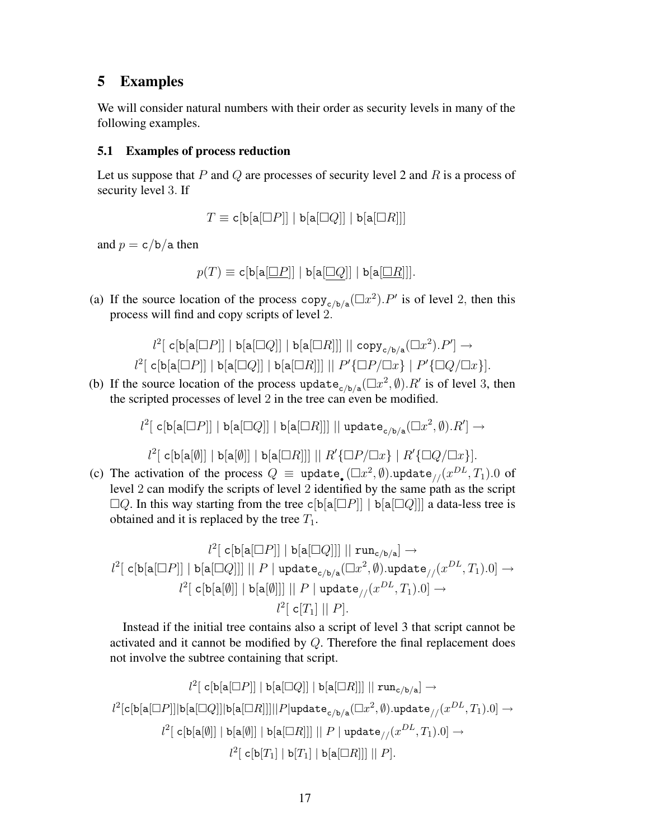## 5 Examples

We will consider natural numbers with their order as security levels in many of the following examples.

### 5.1 Examples of process reduction

Let us suppose that  $P$  and  $Q$  are processes of security level 2 and  $R$  is a process of security level 3. If

 $T \equiv c[b[a \Box P]] | b[a \Box Q]] | b[a \Box R]]$ 

and  $p = c/b/a$  then

 $p(T) \equiv c \left[ b \left[ a \left[ \Box P \right] \right] \mid b \left[ a \left[ \Box Q \right] \right] \mid b \left[ a \left[ \Box R \right] \right] \right].$ 

(a) If the source location of the process  $\text{copy}_{c/b/a}(\Box x^2)$ . P' is of level 2, then this process will find and copy scripts of level 2.

$$
l^2[ \text{ c}[\text{b}[\text{a}[\Box P]] \mid \text{b}[\text{a}[\Box Q]] \mid \text{b}[\text{a}[\Box R]]]] || \text{ copy}_{c/b/a}(\Box x^2).P'] \rightarrow
$$
  

$$
l^2[ \text{ c}[\text{b}[\text{a}[\Box P]] \mid \text{b}[\text{a}[\Box Q]] \mid \text{b}[\text{a}[\Box R]]]] || P' \{\Box P / \Box x\} | P' \{\Box Q / \Box x\}].
$$

(b) If the source location of the process update  $_{c/b/a}(\Box x^2, \emptyset)$ . R' is of level 3, then the scripted processes of level 2 in the tree can even be modified.

$$
l^2[ \; \mathtt{c}[\mathtt{b}[\mathtt{a}[\Box P]]\; | \; \mathtt{b}[\mathtt{a}[\Box Q]]\; | \; \mathtt{b}[\mathtt{a}[\Box R]]]\; || \; \mathtt{update}_{\mathtt{c}/\mathtt{b}/\mathtt{a}}(\Box x^2, \emptyset).R'] \to
$$

$$
l^2[ \text{ c}[\text{b}[\text{a}[\emptyset]] \mid \text{b}[\text{a}[\emptyset]] \mid \text{b}[\text{a}[\Box R]]]] \mid \mid R' \{\Box P / \Box x\} \mid R' \{\Box Q / \Box x\}].
$$

(c) The activation of the process  $Q \equiv$  update<sub>.</sub> ( $\Box x^2$ ,  $\emptyset$ ).update<sub>//</sub>( $x^{DL}$ ,  $T_1$ ).0 of level 2 can modify the scripts of level 2 identified by the same path as the script  $\Box Q$ . In this way starting from the tree c[b[a[ $\Box P$ ]] | b[a[ $\Box Q$ ]] a data-less tree is obtained and it is replaced by the tree  $T_1$ .

$$
l^2 [ \text{ c}[\mathtt{b}[\mathtt{a}[\Box P]] \mid \mathtt{b}[\mathtt{a}[\Box Q]] ] \mid \mid \mathtt{run}_{\mathtt{c}/\mathtt{b}/\mathtt{a}} ] \rightarrow
$$
  

$$
l^2 [ \text{ c}[\mathtt{b}[\mathtt{a}[\Box P]] \mid \mathtt{b}[\mathtt{a}[\Box Q]] ] \mid \mid P \mid \mathtt{update}_{\mathtt{c}/\mathtt{b}/\mathtt{a}} (\Box x^2, \emptyset) .\mathtt{update}_{//}(x^{DL}, T_1) . 0 ] \rightarrow
$$
  

$$
l^2 [ \text{ c}[\mathtt{b}[\mathtt{a}[\emptyset]] \mid \mathtt{b}[\mathtt{a}[\emptyset]] ] \mid \mid P \mid \mathtt{update}_{//}(x^{DL}, T_1) . 0 ] \rightarrow
$$
  

$$
l^2 [ \text{ c} [T_1] \mid \mid P ] .
$$

Instead if the initial tree contains also a script of level 3 that script cannot be activated and it cannot be modified by  $Q$ . Therefore the final replacement does not involve the subtree containing that script.

$$
l^2[ \text{ c}[\text{b}[\textbf{a}[\Box P]] \text{ } | \text{ b}[\textbf{a}[\Box Q]] \text{ } | \text{ b}[\textbf{a}[\Box R]]]] \text{ } || \text{ run}_{\textbf{c}/\textbf{b}/\textbf{a}} ] \rightarrow
$$
  

$$
l^2[ \text{c}[\text{b}[\textbf{a}[\Box P]]] \text{b}[\textbf{a}[\Box Q]]] \text{b}[\textbf{a}[\Box R]]]] || P | \text{update}_{\textbf{c}/\textbf{b}/\textbf{a}} (\Box x^2, \emptyset) . \text{update}_{//}(x^{DL}, T_1) . 0 ] \rightarrow
$$
  

$$
l^2[ \text{ c}[\textbf{b}[\textbf{a}[\emptyset]] \text{ } | \text{ b}[\textbf{a}[\emptyset]] \text{ } | \text{ b}[\textbf{a}[\Box R]]]] \text{ } || \text{ } P | \text{ update}_{//}(x^{DL}, T_1) . 0 ] \rightarrow
$$
  

$$
l^2[ \text{ c}[\textbf{b}[T_1] \text{ } | \textbf{b}[T_1] \text{ } | \text{ b}[\textbf{a}[\Box R]]]] \text{ } || \text{ } P ].
$$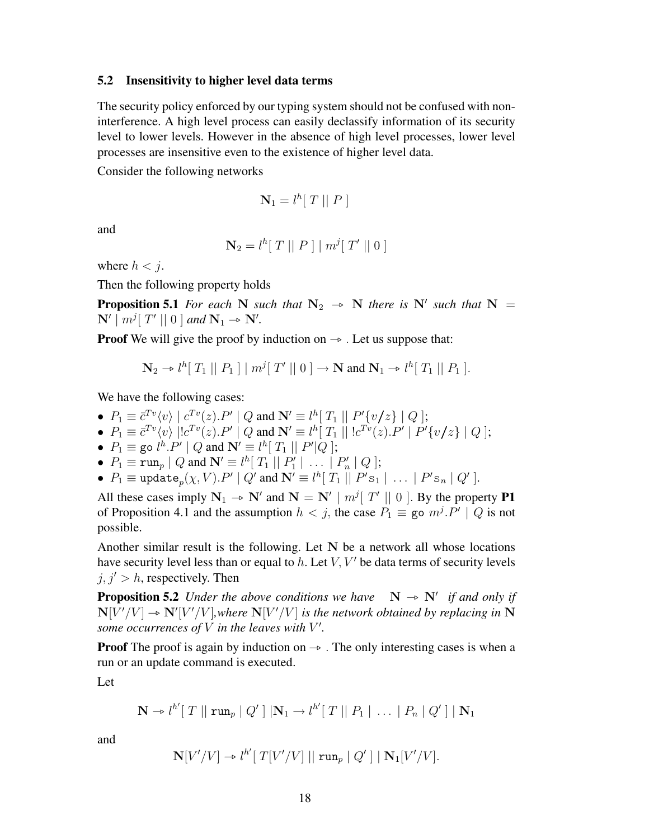#### 5.2 Insensitivity to higher level data terms

The security policy enforced by our typing system should not be confused with noninterference. A high level process can easily declassify information of its security level to lower levels. However in the absence of high level processes, lower level processes are insensitive even to the existence of higher level data.

Consider the following networks

$$
\mathbf{N}_1 = l^h[T \mid P]
$$

and

$$
\mathbf{N}_2 = l^h [T || P ] | m^j [T' || 0 ]
$$

where  $h < j$ .

Then the following property holds

**Proposition 5.1** *For each* N *such that*  $N_2 \rightarrow N$  *there is* N' *such that*  $N = N_1 \cdot m_2^T T' \cdot 10 \cdot 1$  and  $N = N_2$  $\mathbf{N}' \mid m^j [\ T' || 0 ]$  and  $\mathbf{N}_1 \rightarrow \mathbf{N}'$ .

**Proof** We will give the proof by induction on  $\rightarrow$  . Let us suppose that:

$$
\mathbf{N}_2 \to l^h[T_1 \mid P_1] \mid m^j[T' \mid 0] \to \mathbf{N} \text{ and } \mathbf{N}_1 \to l^h[T_1 \mid P_1].
$$

We have the following cases:

- $P_1 \equiv \bar{c}^{Tv}(v) | c^{Tv}(z).P' | Q \text{ and } \mathbf{N'} \equiv l^h [ T_1 || P'\{v/z\} | Q];$
- $P_1 \equiv \bar{c}^{Tv} \langle v \rangle |! c^{Tv}(z) P' | Q$  and  $\mathbf{N'} \equiv l^h [T_1 | |! c^{Tv}(z) P' | P' \{v/z\} | Q];$
- $P_1 \equiv$  go  $l^h.P' \mid Q$  and  $\mathbf{N'} \equiv l^h[T_1 \mid P' \mid Q];$
- $P_1 \equiv \text{run}_p | Q$  and  $\mathbf{N}' \equiv l^h [ T_1 || P'_1 || \dots || P'_n || Q ];$
- $P_1 \equiv \text{update}_p(\chi, V) . P' \mid Q'$  and  $\mathbf{N'} \equiv l^h [\ T_1 \mid \mid P' \mathbf{s}_1 \mid \ \ldots \ \mid P' \mathbf{s}_n \mid Q' ]$ .

All these cases imply  $N_1 \rightarrow N'$  and  $N = N' \mid m^j[T' \mid] 0$ . By the property **P1**<br>of Proposition 4.1 and the assumption  $h \leq \hat{a}$  the association  $P = \text{res } m^j P' \mid O$  is not of Proposition 4.1 and the assumption  $h < j$ , the case  $P_1 \equiv$  go  $m^j \cdot P' \mid Q$  is not possible.

Another similar result is the following. Let  $N$  be a network all whose locations have security level less than or equal to  $h$ . Let  $V$ ,  $V'$  be data terms of security levels  $j, j' > h$ , respectively. Then

**Proposition 5.2** *Under the above conditions we have*  $N \rightarrow N'$  *if and only if*  $N^{[1]/I}/N^{[1]}$  where  $N^{[1]/I}/N^{[1]}$  is the network obtained by replacing in N  $N[V'/V] \rightarrow N'[V'/V]$ , where  $N[V'/V]$  is the network obtained by replacing in N<br>some occurrences of V in the legyes with V' some occurrences of  $V$  in the leaves with  $V'$ .

**Proof** The proof is again by induction on  $\rightarrow$ . The only interesting cases is when a run or an update command is executed.

Let

$$
\mathbf{N} \to l^{h'}[T || \operatorname{run}_p | Q'] | \mathbf{N}_1 \to l^{h'}[T || P_1 | \dots | P_n | Q'] | \mathbf{N}_1
$$

and

$$
\mathbf{N}[V'/V] \to l^{h'}[T[V'/V] || \operatorname{run}_p | Q'] | \mathbf{N}_1[V'/V].
$$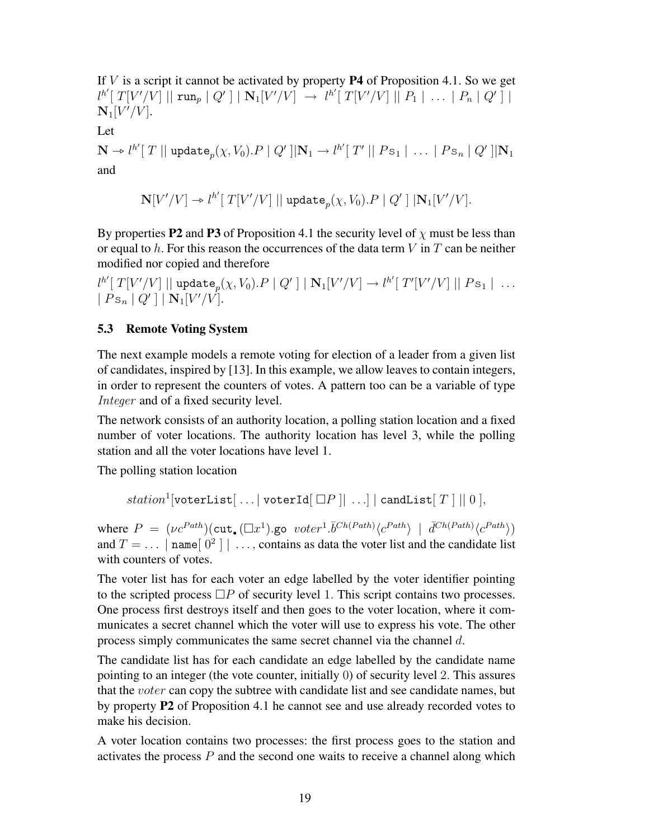If  $V$  is a script it cannot be activated by property **P4** of Proposition 4.1. So we get  $l^{h'}[~T[V'/V]~||~\texttt{run}_p~|~Q'~]~|~\textbf{N}_1[V'/V]~\rightarrow~l^{h'}[~T[V'/V]~||~P_1~|~\dots~|~P_n~|~Q'~]~|~$  $\mathbf{N}_1[V'/V].$ 

Let

 $\mathbf{N} \to l^{h'}[T \mid \mid \text{update}_p(\chi, V_0).P \mid Q' \mid \mid \mathbf{N}_1 \to l^{h'}[T' \mid \mid Ps_1 \mid \ldots \mid Ps_n \mid Q' \mid \mid \mathbf{N}_1$ and

$$
\mathbf{N}[V'/V] \twoheadrightarrow l^{h'}[ \ T[V'/V] \ || \ \mathtt{update}_p(\chi, V_0).P \ | \ Q' \ ] \ |\mathbf{N}_1[V'/V].
$$

By properties **P2** and **P3** of Proposition 4.1 the security level of  $\chi$  must be less than or equal to h. For this reason the occurrences of the data term  $V$  in  $T$  can be neither modified nor copied and therefore

 $l^{h'}[T[V'/V] ||$  update $_p(\chi, V_0) . P || Q' || | \mathbf{N}_1[V'/V] \rightarrow l^{h'}[T'[V'/V] || P \mathbf{s}_1 || \dots]$  $|Ps_n | Q' | |\mathbf{N}_1[V'/V].$ 

### 5.3 Remote Voting System

The next example models a remote voting for election of a leader from a given list of candidates, inspired by [13]. In this example, we allow leaves to contain integers, in order to represent the counters of votes. A pattern too can be a variable of type Integer and of a fixed security level.

The network consists of an authority location, a polling station location and a fixed number of voter locations. The authority location has level 3, while the polling station and all the voter locations have level 1.

The polling station location

```
{\it station}^1[\texttt{voterList}[\ \ldots|\ \texttt{voterId}[\ \Box P\ ]|\ \ldots] \ | \ {\tt candList}[\ T\ ]\ ||\ 0\ ],
```
where  $P = (\nu c^{Path}) (\text{cut}_{\bullet} (\Box x^1) \text{.}$  go  $\nu \text{ot} e r^1 \cdot \overline{b}^{Ch(Path)} \langle c^{Path} \rangle \mid \overline{d}^{Ch(Path)} \langle c^{Path} \rangle)$ and  $T = \dots |$  name  $[0^2] | \dots$ , contains as data the voter list and the candidate list with counters of votes.

The voter list has for each voter an edge labelled by the voter identifier pointing to the scripted process  $\Box P$  of security level 1. This script contains two processes. One process first destroys itself and then goes to the voter location, where it communicates a secret channel which the voter will use to express his vote. The other process simply communicates the same secret channel via the channel d.

The candidate list has for each candidate an edge labelled by the candidate name pointing to an integer (the vote counter, initially 0) of security level 2. This assures that the voter can copy the subtree with candidate list and see candidate names, but by property P2 of Proposition 4.1 he cannot see and use already recorded votes to make his decision.

A voter location contains two processes: the first process goes to the station and activates the process  $P$  and the second one waits to receive a channel along which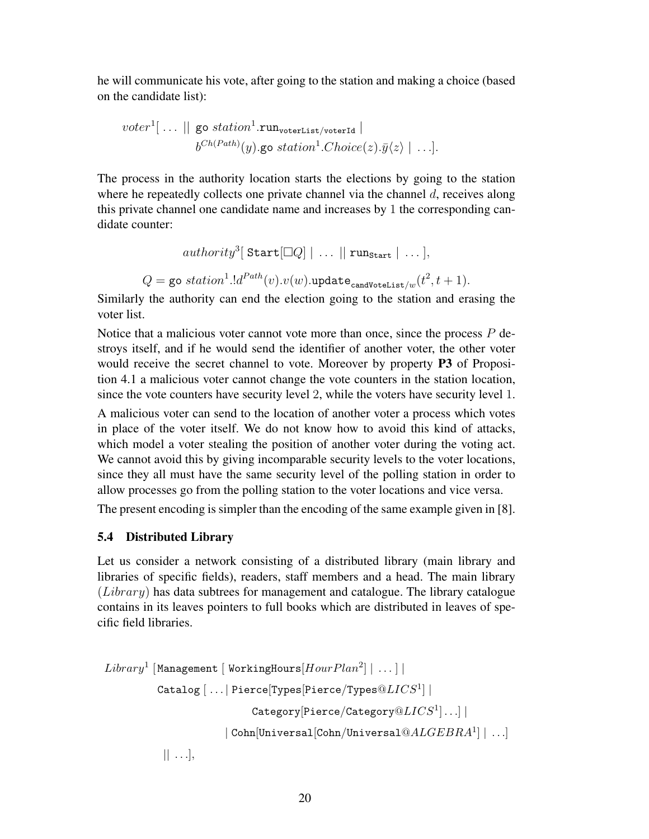he will communicate his vote, after going to the station and making a choice (based on the candidate list):

$$
voter1[... || go station1.runvoterList/voterId |bCh(Path)(y).go station1.Choice(z). $\bar{y}$ \langle z \rangle | ...].
$$

The process in the authority location starts the elections by going to the station where he repeatedly collects one private channel via the channel  $d$ , receives along this private channel one candidate name and increases by 1 the corresponding candidate counter:

```
\mathit{authority}^3[ \mathtt{Start}[\Box Q] \mid \ldots \mid \mid \mathtt{run}_{\mathtt{Start}} \mid \ldots],Q = go \textit{station}^{1}.ld^{\textit{Path}}(v).v(w).update_{\textsf{candidate} \textsf{List}/w}(t^{2},t+1).
```
Similarly the authority can end the election going to the station and erasing the voter list.

Notice that a malicious voter cannot vote more than once, since the process  $P$  destroys itself, and if he would send the identifier of another voter, the other voter would receive the secret channel to vote. Moreover by property **P3** of Proposition 4.1 a malicious voter cannot change the vote counters in the station location, since the vote counters have security level 2, while the voters have security level 1.

A malicious voter can send to the location of another voter a process which votes in place of the voter itself. We do not know how to avoid this kind of attacks, which model a voter stealing the position of another voter during the voting act. We cannot avoid this by giving incomparable security levels to the voter locations, since they all must have the same security level of the polling station in order to allow processes go from the polling station to the voter locations and vice versa.

The present encoding is simpler than the encoding of the same example given in [8].

### 5.4 Distributed Library

Let us consider a network consisting of a distributed library (main library and libraries of specific fields), readers, staff members and a head. The main library  $(Library)$  has data subtrees for management and catalogue. The library catalogue contains in its leaves pointers to full books which are distributed in leaves of specific field libraries.

```
Library^1 [Management [WorkingHours[HourPlan^2] | ...]
              \texttt{Catalog} \ } [ \ \ldots | \ \texttt{Pience} [\texttt{Types} [\texttt{Pience} /\texttt{Types}@LICS^1] \ | \\texttt{Category}[\texttt{Pience}/\texttt{Category}@LICS^1] \ldots] \mid\mid Cohn[Universal[Cohn/Universal@ALGEBRA^1] \mid \ldots]|| \ldots |,
```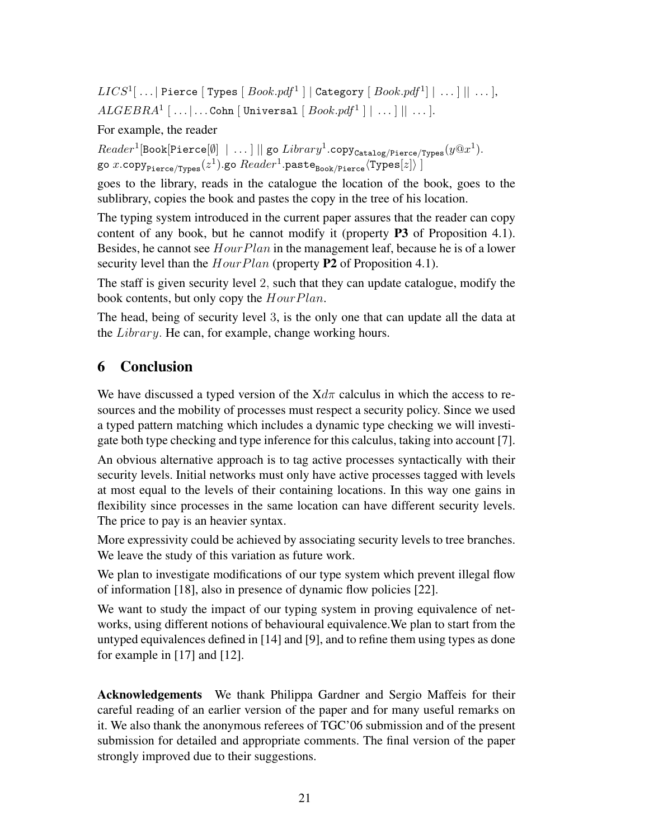$LICS^1[\ \ldots |$  Pierce  $[$  Types  $[$   $Book.pdf^1$   $]$   $|$  Category  $[$   $Book.pdf^1]$   $|$   $\ldots$   $]$   $|$   $\ldots$   $]$ ,  $ALGEBRA^1~[~\dots | \dots {\tt Con}~[~{\tt Universal}~[~Book.pdf^1~]~|~\dots ]~||~\dots ].$ 

For example, the reader

 $Reader^1[\text{Book}[\text{Piere}[\emptyset] \mid \dots] \mid\mid \text{go}\ Library^1.\text{copy}_\text{Catalog/Perce/Types}(y@x^1).$ go  $x.\mathtt{copy}_{\mathtt{Pience/Types}}(z^1).\mathtt{go}\,Reader^1.\mathtt{paste}_{\mathtt{Book/Pience}}\mathtt{\langle Types[z]\rangle}$  ]

goes to the library, reads in the catalogue the location of the book, goes to the sublibrary, copies the book and pastes the copy in the tree of his location.

The typing system introduced in the current paper assures that the reader can copy content of any book, but he cannot modify it (property  $P3$  of Proposition 4.1). Besides, he cannot see  $HourPlan$  in the management leaf, because he is of a lower security level than the  $HourPlan$  (property P2 of Proposition 4.1).

The staff is given security level 2, such that they can update catalogue, modify the book contents, but only copy the  $HourPlan$ .

The head, being of security level 3, is the only one that can update all the data at the Library. He can, for example, change working hours.

# 6 Conclusion

We have discussed a typed version of the  $Xd\pi$  calculus in which the access to resources and the mobility of processes must respect a security policy. Since we used a typed pattern matching which includes a dynamic type checking we will investigate both type checking and type inference for this calculus, taking into account [7].

An obvious alternative approach is to tag active processes syntactically with their security levels. Initial networks must only have active processes tagged with levels at most equal to the levels of their containing locations. In this way one gains in flexibility since processes in the same location can have different security levels. The price to pay is an heavier syntax.

More expressivity could be achieved by associating security levels to tree branches. We leave the study of this variation as future work.

We plan to investigate modifications of our type system which prevent illegal flow of information [18], also in presence of dynamic flow policies [22].

We want to study the impact of our typing system in proving equivalence of networks, using different notions of behavioural equivalence.We plan to start from the untyped equivalences defined in [14] and [9], and to refine them using types as done for example in [17] and [12].

Acknowledgements We thank Philippa Gardner and Sergio Maffeis for their careful reading of an earlier version of the paper and for many useful remarks on it. We also thank the anonymous referees of TGC'06 submission and of the present submission for detailed and appropriate comments. The final version of the paper strongly improved due to their suggestions.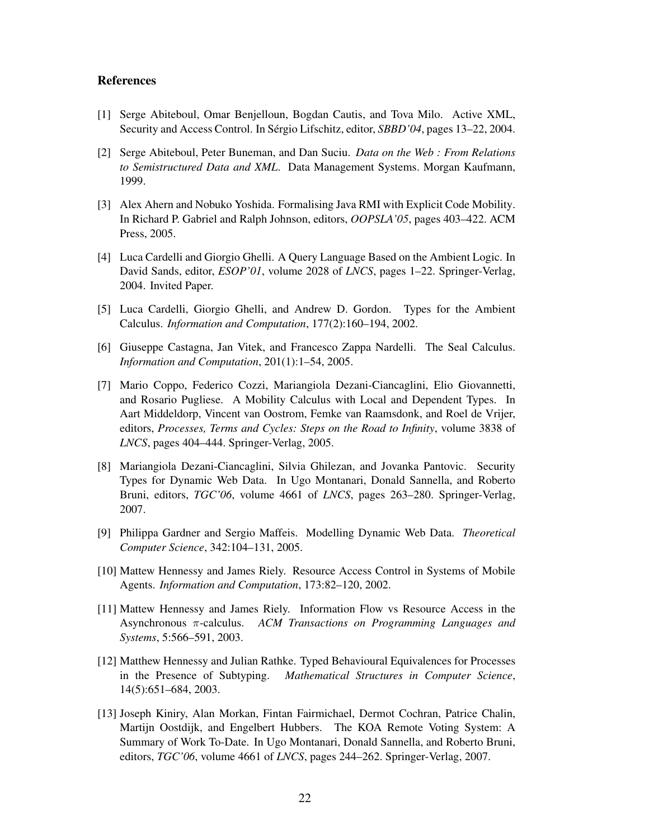#### References

- [1] Serge Abiteboul, Omar Benjelloun, Bogdan Cautis, and Tova Milo. Active XML, Security and Access Control. In Sérgio Lifschitz, editor, *SBBD*'04, pages 13–22, 2004.
- [2] Serge Abiteboul, Peter Buneman, and Dan Suciu. *Data on the Web : From Relations to Semistructured Data and XML*. Data Management Systems. Morgan Kaufmann, 1999.
- [3] Alex Ahern and Nobuko Yoshida. Formalising Java RMI with Explicit Code Mobility. In Richard P. Gabriel and Ralph Johnson, editors, *OOPSLA'05*, pages 403–422. ACM Press, 2005.
- [4] Luca Cardelli and Giorgio Ghelli. A Query Language Based on the Ambient Logic. In David Sands, editor, *ESOP'01*, volume 2028 of *LNCS*, pages 1–22. Springer-Verlag, 2004. Invited Paper.
- [5] Luca Cardelli, Giorgio Ghelli, and Andrew D. Gordon. Types for the Ambient Calculus. *Information and Computation*, 177(2):160–194, 2002.
- [6] Giuseppe Castagna, Jan Vitek, and Francesco Zappa Nardelli. The Seal Calculus. *Information and Computation*, 201(1):1–54, 2005.
- [7] Mario Coppo, Federico Cozzi, Mariangiola Dezani-Ciancaglini, Elio Giovannetti, and Rosario Pugliese. A Mobility Calculus with Local and Dependent Types. In Aart Middeldorp, Vincent van Oostrom, Femke van Raamsdonk, and Roel de Vrijer, editors, *Processes, Terms and Cycles: Steps on the Road to Infinity*, volume 3838 of *LNCS*, pages 404–444. Springer-Verlag, 2005.
- [8] Mariangiola Dezani-Ciancaglini, Silvia Ghilezan, and Jovanka Pantovic. Security Types for Dynamic Web Data. In Ugo Montanari, Donald Sannella, and Roberto Bruni, editors, *TGC'06*, volume 4661 of *LNCS*, pages 263–280. Springer-Verlag, 2007.
- [9] Philippa Gardner and Sergio Maffeis. Modelling Dynamic Web Data. *Theoretical Computer Science*, 342:104–131, 2005.
- [10] Mattew Hennessy and James Riely. Resource Access Control in Systems of Mobile Agents. *Information and Computation*, 173:82–120, 2002.
- [11] Mattew Hennessy and James Riely. Information Flow vs Resource Access in the Asynchronous π-calculus. *ACM Transactions on Programming Languages and Systems*, 5:566–591, 2003.
- [12] Matthew Hennessy and Julian Rathke. Typed Behavioural Equivalences for Processes in the Presence of Subtyping. *Mathematical Structures in Computer Science*, 14(5):651–684, 2003.
- [13] Joseph Kiniry, Alan Morkan, Fintan Fairmichael, Dermot Cochran, Patrice Chalin, Martijn Oostdijk, and Engelbert Hubbers. The KOA Remote Voting System: A Summary of Work To-Date. In Ugo Montanari, Donald Sannella, and Roberto Bruni, editors, *TGC'06*, volume 4661 of *LNCS*, pages 244–262. Springer-Verlag, 2007.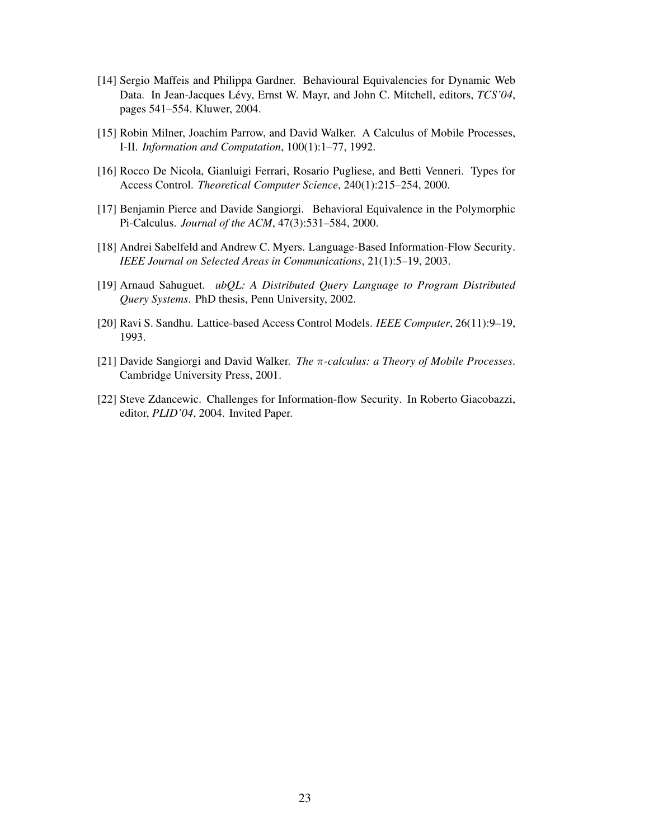- [14] Sergio Maffeis and Philippa Gardner. Behavioural Equivalencies for Dynamic Web Data. In Jean-Jacques Lévy, Ernst W. Mayr, and John C. Mitchell, editors,  $TCS'04$ , pages 541–554. Kluwer, 2004.
- [15] Robin Milner, Joachim Parrow, and David Walker. A Calculus of Mobile Processes, I-II. *Information and Computation*, 100(1):1–77, 1992.
- [16] Rocco De Nicola, Gianluigi Ferrari, Rosario Pugliese, and Betti Venneri. Types for Access Control. *Theoretical Computer Science*, 240(1):215–254, 2000.
- [17] Benjamin Pierce and Davide Sangiorgi. Behavioral Equivalence in the Polymorphic Pi-Calculus. *Journal of the ACM*, 47(3):531–584, 2000.
- [18] Andrei Sabelfeld and Andrew C. Myers. Language-Based Information-Flow Security. *IEEE Journal on Selected Areas in Communications*, 21(1):5–19, 2003.
- [19] Arnaud Sahuguet. *ubQL: A Distributed Query Language to Program Distributed Query Systems*. PhD thesis, Penn University, 2002.
- [20] Ravi S. Sandhu. Lattice-based Access Control Models. *IEEE Computer*, 26(11):9–19, 1993.
- [21] Davide Sangiorgi and David Walker. *The* π*-calculus: a Theory of Mobile Processes*. Cambridge University Press, 2001.
- [22] Steve Zdancewic. Challenges for Information-flow Security. In Roberto Giacobazzi, editor, *PLID'04*, 2004. Invited Paper.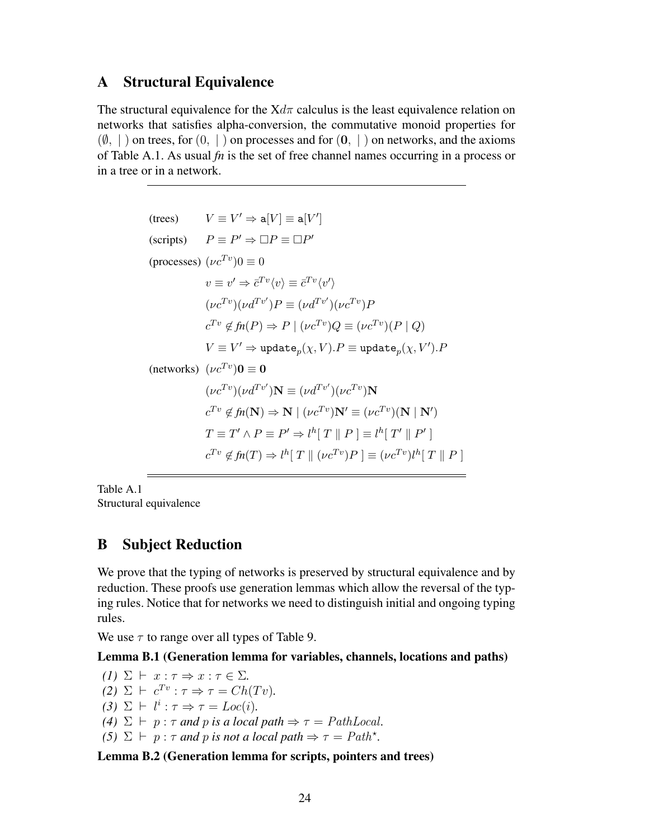### A Structural Equivalence

The structural equivalence for the  $Xd\pi$  calculus is the least equivalence relation on networks that satisfies alpha-conversion, the commutative monoid properties for  $(\emptyset, |)$  on trees, for  $(0, |)$  on processes and for  $(0, |)$  on networks, and the axioms of Table A.1. As usual *fn* is the set of free channel names occurring in a process or in a tree or in a network.

```
(trees) V \equiv V' \Rightarrow \mathsf{a}[V] \equiv \mathsf{a}[V'](scripts) P \equiv P' \Rightarrow \Box P \equiv \Box P'(processes) (\nu c^{Tv})0 \equiv 0v \equiv v' \Rightarrow \bar{c}^{Tv} \langle v \rangle \equiv \bar{c}^{Tv} \langle v' \rangle(\nu c^{Tv})(\nu d^{Tv'})P \equiv (\nu d^{Tv'})(\nu c^{Tv})Pc^{Tv} \notin \mathit{fn}(P) \Rightarrow P \mid (\nu c^{Tv})Q \equiv (\nu c^{Tv})(P \mid Q)V\equiv V'\Rightarrow \texttt{update}_p(\chi,V).P\equiv \texttt{update}_p(\chi,V').P(networks) (\nu c^{Tv})\mathbf{0}\equiv \mathbf{0}(\nu c^{Tv})(\nu d^{Tv'})\mathbf{N}\equiv (\nu d^{Tv'})(\nu c^{Tv})\mathbf{N}c^{Tv} \notin fn(N) \Rightarrow N \mid (vc^{Tv})N' \equiv (vc^{Tv})(N \mid N')T \equiv T' \wedge P \equiv P' \Rightarrow l^h [T \parallel P] \equiv l^h [T' \parallel P']c^{Tv} \notin fn(T) \Rightarrow l^h[T \parallel (\nu c^{Tv})P] \equiv (\nu c^{Tv})l^h[T \parallel P]
```
Table A.1 Structural equivalence

# B Subject Reduction

We prove that the typing of networks is preserved by structural equivalence and by reduction. These proofs use generation lemmas which allow the reversal of the typing rules. Notice that for networks we need to distinguish initial and ongoing typing rules.

We use  $\tau$  to range over all types of Table 9.

#### Lemma B.1 (Generation lemma for variables, channels, locations and paths)

*(1)*  $\Sigma \vdash x : \tau \Rightarrow x : \tau \in \Sigma$ .  $(2)$   $\Sigma$   $\vdash$   $c^{Tv}$  :  $\tau \Rightarrow \tau = Ch(Tv)$ .  $(3)$   $\Sigma$   $\vdash$   $l^i : \tau \Rightarrow \tau = Loc(i)$ . *(4)*  $\Sigma$   $\vdash$   $p : \tau$  *and*  $p$  *is a local path*  $\Rightarrow$   $\tau = PathLocal$ *.* (5)  $\Sigma \vdash p : \tau$  *and p is not a local path*  $\Rightarrow \tau = Path^*$ .

Lemma B.2 (Generation lemma for scripts, pointers and trees)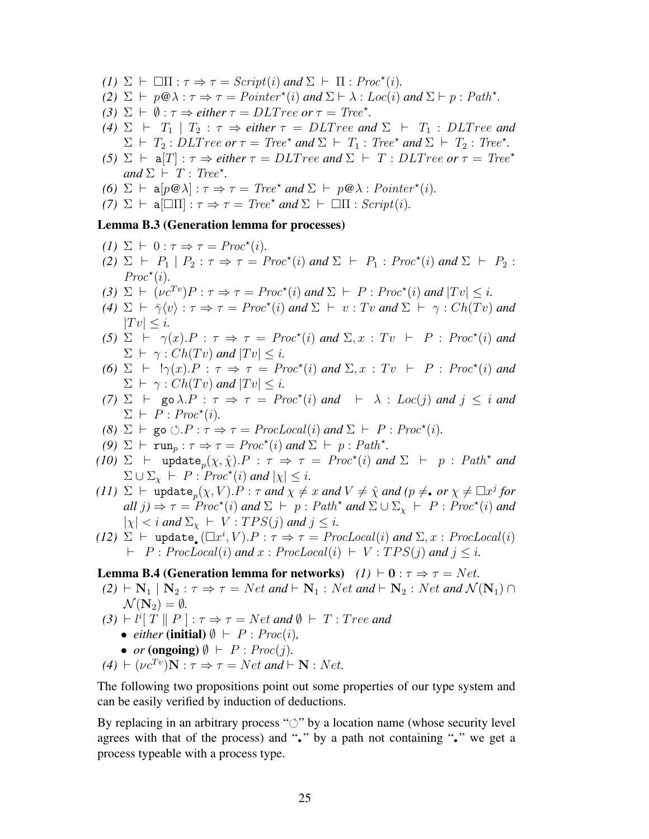- *(1)*  $\Sigma \vdash \Box \Pi : \tau \Rightarrow \tau = \text{Script}(i) \text{ and } \Sigma \vdash \Pi : \text{Proc}^*(i)$ .
- *(2)*  $\Sigma \vdash p \circledast \lambda : \tau \Rightarrow \tau = \text{Pointer}^{\star}(i)$  and  $\Sigma \vdash \lambda : \text{Loc}(i)$  and  $\Sigma \vdash p : \text{Path}^{\star}$ .
- (3)  $\Sigma \vdash \emptyset : \tau \Rightarrow$  *either*  $\tau = DLT$  *ree or*  $\tau = T$ *ree*<sup>\*</sup>.
- *(4)*  $\Sigma$   $\vdash$   $T_1$  |  $T_2$  :  $\tau \Rightarrow$  *either*  $\tau = DLT$  *ree and*  $\Sigma$   $\vdash$   $T_1$  :  $DLT$  *ree and*  $\Sigma \vdash T_2 : DLT$  *ree or*  $\tau = Tree^*$  *and*  $\Sigma \vdash T_1 : Tree^*$  *and*  $\Sigma \vdash T_2 : Tree^*$ .
- *(5)*  $\Sigma$   $\vdash$  **a**[T] :  $\tau \Rightarrow$  *either*  $\tau = DLT$  *ree and*  $\Sigma$   $\vdash$  T : DLT ree or  $\tau = T$  ree\*  $and \Sigma \vdash T : Tree^*$ .
- *(6)*  $\Sigma \vdash a[p@{\lambda}] : \tau \Rightarrow \tau = \text{Tree}^* \text{ and } \Sigma \vdash p@{\lambda} : \text{Pointer}^*(i).$
- $(7)$   $\Sigma$   $\vdash$  a  $\Box \Pi$  :  $\tau \Rightarrow \tau = \text{Tree}^*$  and  $\Sigma$   $\vdash$   $\Box \Pi$  :  $\text{Script}(i)$ *.*

#### Lemma B.3 (Generation lemma for processes)

- $(I) \Sigma \vdash 0 : \tau \Rightarrow \tau = \text{Proc}^*(i).$
- $(2)$   $\Sigma$   $\vdash$   $P_1 \mid P_2 : \tau \Rightarrow \tau = \text{Proc}^*(i) \text{ and } \Sigma \vdash P_1 : \text{Proc}^*(i) \text{ and } \Sigma \vdash P_2 :$  $Proc<sup>*</sup>(i).$
- (3)  $\Sigma \vdash (\nu c^{Tv})P : \tau \Rightarrow \tau = \text{Proc}^*(i) \text{ and } \Sigma \vdash P : \text{Proc}^*(i) \text{ and } |Tv| \leq i.$
- *(4)*  $\Sigma$   $\vdash \bar{\gamma} \langle v \rangle : \tau \Rightarrow \tau = \text{Proc}^*(i)$  and  $\Sigma$   $\vdash v : Tv$  and  $\Sigma$   $\vdash \gamma : \text{Ch}(Tv)$  and  $|Tv| \leq i.$
- (5)  $\Sigma$   $\vdash \gamma(x) \cdot P : \tau \Rightarrow \tau = \text{Proc}^*(i) \text{ and } \Sigma, x : Tv \vdash P : \text{Proc}^*(i) \text{ and }$  $\Sigma \vdash \gamma : Ch(Tv)$  and  $|Tv| \leq i$ .
- (6)  $\Sigma$   $\vdash$   $!\gamma(x) \cdot P : \tau \Rightarrow \tau = \text{Proc}^*(i)$  and  $\Sigma, x : Tv \vdash P : \text{Proc}^*(i)$  and  $\Sigma \vdash \gamma : Ch(Tv)$  *and*  $|Tv| \leq i$ .
- *(7)*  $\Sigma$   $\vdash$  go  $\lambda.P$  :  $\tau \Rightarrow \tau = \text{Proc}^*(i)$  and  $\vdash \lambda$  : Loc(j) and  $j \leq i$  and  $\Sigma \vdash P : Proc^*(i)$ .
- *(8)*  $\Sigma \vdash$  go  $\circlearrowleft P : \tau \Rightarrow \tau = \text{ProcLocal}(i)$  *and*  $\Sigma \vdash P : \text{Proc}^{\star}(i)$ *.*
- *(9)*  $\Sigma \vdash \text{run}_p : \tau \Rightarrow \tau = \text{Proc}^*(i) \text{ and } \Sigma \vdash p : \text{Path}^*$ .
- (10)  $\Sigma$   $\vdash$  update<sub>p</sub>( $\chi, \hat{\chi}$ ). $P : \tau \Rightarrow \tau = \text{Proc}^*(i)$  and  $\Sigma$   $\vdash$   $p : \text{Path}^*$  and  $\Sigma \cup \Sigma_{\chi} \vdash P : \text{Proc}^{\star}(i) \text{ and } |\chi| \leq i.$
- *(11)*  $\Sigma$   $\vdash$   $\text{update}_p(\chi, V) . P : \tau$  *and*  $\chi \neq x$  *and*  $V \neq \hat{\chi}$  *and* ( $p \neq \bullet$  *or*  $\chi \neq \Box x^j$  *for*  $all \ j) \Rightarrow \tau = \text{Proc}^{\star}(i) \ and \ \Sigma \ \vdash \ p : \ \text{Path}^{\star} \ and \ \Sigma \cup \Sigma_{\chi} \ \vdash \ \ P : \ \text{Proc}^{\star}(i) \ and$  $|\chi| < i$  *and*  $\Sigma_{\chi} \vdash V : TPS(j)$  *and*  $j \leq i$ *.*
- *(12)*  $\Sigma$   $\vdash$  update  $\left(\Box x^{i}, V\right) \cdot P : \tau \Rightarrow \tau = \text{ProcLocal}(i)$  *and*  $\Sigma, x : \text{ProcLocal}(i)$  $\vdash$  P : ProcLocal(i) and x : ProcLocal(i)  $\vdash$  V : TPS(j) and j < i.

#### **Lemma B.4 (Generation lemma for networks)**  $(I) \vdash 0 : \tau \Rightarrow \tau = Net$ .

- $(2) \vdash N_1 \mid N_2 : \tau \Rightarrow \tau = Net \text{ and } \vdash N_1 : Net \text{ and } \vdash N_2 : Net \text{ and } \mathcal{N}(N_1) \cap$  $\mathcal{N}(\mathbf{N}_2) = \emptyset.$
- $(3) \vdash l^{i} [T \parallel P] : \tau \Rightarrow \tau = Net \text{ and } \emptyset \vdash T : Tree \text{ and }$ 
	- *either* (initial)  $\emptyset$   $\vdash$   $P$  :  $Proc(i)$ ,
	- *or* (ongoing)  $\emptyset \vdash P : \text{Proc}(j)$ .

$$
(4) \vdash (\nu c^{Tv})\mathbf{N} : \tau \Rightarrow \tau = Net \text{ and } \vdash \mathbf{N} : Net.
$$

The following two propositions point out some properties of our type system and can be easily verified by induction of deductions.

By replacing in an arbitrary process " $\circ$ " by a location name (whose security level agrees with that of the process) and "•" by a path not containing "•" we get a process typeable with a process type.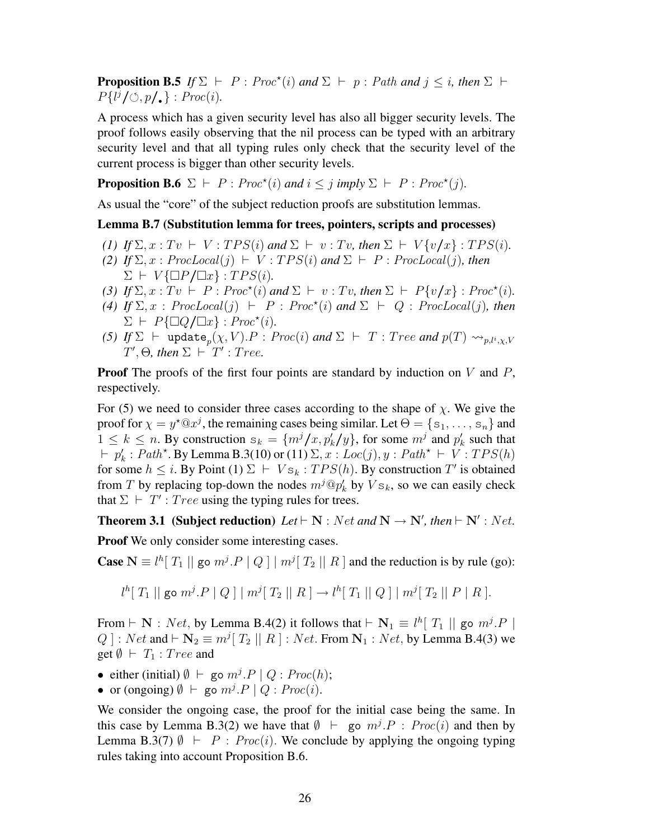**Proposition B.5** If  $\Sigma$   $\vdash$  P: Proc<sup>\*</sup>(i) and  $\Sigma$   $\vdash$  p: Path and  $j \leq i$ , then  $\Sigma$   $\vdash$  $P\{l^j/\circlearrowleft, p/\blacksquare\} : \text{Proc}(i)$ .

A process which has a given security level has also all bigger security levels. The proof follows easily observing that the nil process can be typed with an arbitrary security level and that all typing rules only check that the security level of the current process is bigger than other security levels.

**Proposition B.6**  $\Sigma \vdash P : \text{Proc}^*(i) \text{ and } i \leq j \text{ imply } \Sigma \vdash P : \text{Proc}^*(j)$ .

As usual the "core" of the subject reduction proofs are substitution lemmas.

Lemma B.7 (Substitution lemma for trees, pointers, scripts and processes)

- *(1) If*  $\Sigma$ ,  $x : Tv \vdash V : TPS(i)$  *and*  $\Sigma \vdash v : Tv$ , *then*  $\Sigma \vdash V \{v/x\} : TPS(i)$ .
- *(2) If*  $\Sigma$ ,  $x$ :  $ProcLocal(j)$   $\vdash$   $V$ :  $TPS(i)$  *and*  $\Sigma$   $\vdash$   $P$ :  $ProcLocal(j)$ *, then*  $\Sigma \vdash V \{\Box P / \Box x\} : T P S(i).$
- (3) If  $\Sigma$ ,  $x : Tv \vdash P : Proc^*(i)$  and  $\Sigma \vdash v : Tv$ , then  $\Sigma \vdash P\{v/x\} : Proc^*(i)$ .
- (4) If  $\Sigma$ ,  $x$ :  $ProcLocal(j)$   $\vdash$   $P$ :  $Proc<sup>*</sup>(i)$  and  $\Sigma$   $\vdash$   $Q$ :  $ProcLocal(j)$ *, then*  $\Sigma \vdash P\{\Box Q / \Box x\} : \text{Proc}^{\star}(i).$
- *(5) If*  $\Sigma$   $\vdash$   $\text{update}_p(\chi, V) . P : \text{Proc}(i) \text{ and } \Sigma \vdash T : \text{Tree} \text{ and } p(T) \rightsquigarrow_{p,l^i,\chi,V}$  $T', \Theta$ , then  $\Sigma \vdash T'$  : Tree.

**Proof** The proofs of the first four points are standard by induction on  $V$  and  $P$ , respectively.

For (5) we need to consider three cases according to the shape of  $\chi$ . We give the proof for  $\chi = y^* \mathbb{Q} x^j$ , the remaining cases being similar. Let  $\Theta = \{s_1, \ldots, s_n\}$  and  $1 \leq k \leq n$ . By construction  $s_k = \{m^j/x, p'_k/y\}$ , for some  $m^j$  and  $p'_k$  such that  $\vdash p'_k : Path^{\star}$ . By Lemma B.3(10) or (11)  $\Sigma, x : Loc(j), y : Path^{\star} \vdash V : TPS(h)$ for some  $h \leq i$ . By Point (1)  $\Sigma \vdash V_{s_k} : TPS(h)$ . By construction T' is obtained from T by replacing top-down the nodes  $m^j \mathbb{Q} p'_k$  by  $V s_k$ , so we can easily check that  $\Sigma \vdash T'$ : Tree using the typing rules for trees.

**Theorem 3.1** (Subject reduction)  $Let \vdash N : Net \text{ and } N \rightarrow N', then \vdash N' : Net.$ 

Proof We only consider some interesting cases.

**Case**  $N \equiv l^h[T_1 \mid g \circ m^j \cdot P \mid Q] \mid m^j[T_2 \mid T_1 \mid R]$  and the reduction is by rule (go):

$$
l^h[T_1 \mid g \circ m^j \cdot P \mid Q] \mid m^j[T_2 \mid T_1 \mid R] \to l^h[T_1 \mid Q] \mid m^j[T_2 \mid T_2 \mid P \mid R].
$$

From  $\vdash \mathbf{N}$  : Net, by Lemma B.4(2) it follows that  $\vdash \mathbf{N}_1 \equiv l^h[T_1 \mid ]$  go  $m^j.P \mid$ Q ] : Net and  $\vdash \mathbf{N}_2 \equiv m^j [T_2 \mid R]$  : Net. From  $\mathbf{N}_1$  : Net, by Lemma B.4(3) we get  $\emptyset \vdash T_1 : Tree$  and

- either (initial)  $\emptyset$   $\vdash$  go  $m^j \cdot P \mid Q : \text{Proc}(h);$
- or (ongoing)  $\emptyset$   $\vdash$  go  $m^j.P \mid Q : Proc(i)$ .

We consider the ongoing case, the proof for the initial case being the same. In this case by Lemma B.3(2) we have that  $\emptyset \vdash$  go  $m^j \cdot P : Proc(i)$  and then by Lemma B.3(7)  $\emptyset$   $\vdash$  P : Proc(i). We conclude by applying the ongoing typing rules taking into account Proposition B.6.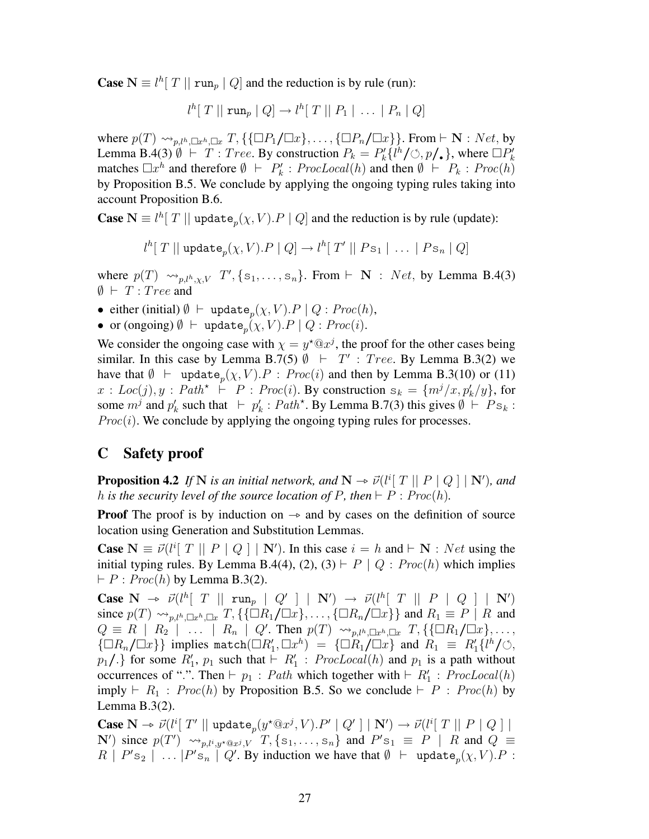**Case**  $N \equiv l^h[T || run_p | Q]$  and the reduction is by rule (run):

$$
l^h[T \mid \mid \operatorname{run}_p | Q] \to l^h[T \mid \mid P_1 | \ldots | P_n | Q]
$$

where  $p(T) \rightarrow_{p,l^h,\Box x^h,\Box x} T, {\{\Box P_1/\Box x\},\ldots,{\{\Box P_n/\Box x\}\}}.$  From  $\vdash N : Net$ , by Lemma B.4(3)  $\emptyset$   $\vdash$  T : Tree. By construction  $P_k = P'_k \{ l^h / \circlearrowleft, p' \}$ , where  $\Box P'_k$ matches  $\Box x^h$  and therefore  $\emptyset \vdash P'_k$ :  $ProcLocal(h)$  and then  $\emptyset \vdash P_k$ :  $Proc(h)$ by Proposition B.5. We conclude by applying the ongoing typing rules taking into account Proposition B.6.

**Case**  $N \equiv l^h[T \mid \text{update}_p(\chi, V) \cdot P \mid Q]$  and the reduction is by rule (update):

 $l^h[~T~||~\mathtt{update}_p(\chi,V).P~|~Q] \rightarrow l^h[~T'~||~Ps_1~|~ \dots ~|~Ps_n~|~Q]$ 

where  $p(T) \sim_{p,l^h,\chi,V} T'$ , {s<sub>1</sub>, ..., s<sub>n</sub>}. From  $\vdash \mathbf{N} : Net$ , by Lemma B.4(3)  $\emptyset$   $\vdash$   $T$  :  $Tree$  and

- either (initial)  $\emptyset$  ⊢ update<sub>p</sub>( $\chi$ ,  $V$ ). $P \mid Q$  : Proc(h),
- or (ongoing)  $\emptyset$   $\vdash$  update  $_p(\chi, V)$ .  $P \mid Q : \text{Proc}(i)$ .

We consider the ongoing case with  $\chi = y^* \mathbb{Q} x^j$ , the proof for the other cases being similar. In this case by Lemma B.7(5)  $\emptyset$   $\vdash$   $T'$  : Tree. By Lemma B.3(2) we have that  $\emptyset \vdash \text{update}_p(\chi, V) \cdot P : \text{Proc}(i)$  and then by Lemma B.3(10) or (11)  $x: Loc(j), y: Path^* \vdash P: Proc(i).$  By construction  $s_k = \{m^j/x, p'_k/y\}$ , for some  $m^j$  and  $p'_k$  such that  $\vdash p'_k : Path^*$ . By Lemma B.7(3) this gives  $\emptyset \vdash Ps_k$ :  $Proc(i)$ . We conclude by applying the ongoing typing rules for processes.

### C Safety proof

**Proposition 4.2** *If* N *is an initial network, and*  $N \rightarrow \vec{\nu}$  ( $l^i$ [ T || P | Q ] | N')*, and*  $h$  *is the security level of the source location of* P, then  $\vdash P : \text{Proc}(h)$ *h* is the security level of the source location of P, then  $\vdash P : Proc(h)$ .

**Proof** The proof is by induction on  $\rightarrow$  and by cases on the definition of source location using Generation and Substitution Lemmas.

**Case**  $N \equiv \vec{v}(l^i[T \mid P \mid Q] \mid N')$ . In this case  $i = h$  and  $\vdash N : Net$  using the initial typing rules. By Lemma B.4(4), (2), (3)  $\vdash P \mid Q : \text{Proc}(h)$  which implies  $\vdash P : Proc(h)$  by Lemma B.3(2).

**Case**  $N \to \vec{\nu}(l^h[T \mid \mid \text{run}_p \mid Q' \mid \mid N') \to \vec{\nu}(l^h[T \mid \mid P \mid Q \mid \mid N')$ <br>since  $\vec{\nu}(T)$  is  $\vec{\nu}(T) = T$   $(\square P \mid \square p)$   $(\square p \mid \square p)$  and  $P = P \mid P$  and since  $p(T) \rightarrow_{p,l^h,\Box x^h,\Box x} T$ , {{ $\Box R_1/\Box x$ }, ..., { $\Box R_n/\Box x$ }} and  $R_1 \equiv P \mid R$  and  $Q \equiv R \mid R_2 \mid \ldots \mid R_n \mid Q'$ . Then  $p(T) \rightsquigarrow_{p,l^h,\Box x^h,\Box x} T, \{\{\Box R_1/\Box x\},\ldots,\}$  $\{\Box R_n/\Box x\}$  implies match $(\Box R'_1, \Box x^h) = {\Box R_1/\Box x}$  and  $R_1 \equiv R'_1 \{l^h/\Diamond, l^h/\Diamond n\}$  $p_1$ ,  $\}$  for some  $R'_1$ ,  $p_1$  such that  $\vdash R'_1$ :  $ProcLocal(h)$  and  $p_1$  is a path without occurrences of ".". Then  $\vdash p_1 : Path$  which together with  $\vdash R'_1 : ProcLocal(h)$ imply  $\vdash R_1$ :  $Proc(h)$  by Proposition B.5. So we conclude  $\vdash P$ :  $Proc(h)$  by Lemma B.3(2).

**Case**  $N \to \vec{\nu} (l^i [\ T' || \text{update}_p(y^* \mathbb{Q} x^j, V).P' || Q' || N') \to \vec{\nu} (l^i [\ T || P || Q ||$ <br>  $N' \text{ image } n(T') \text{ and } T \text{ [q]} \text{ and } P' \text{ are } \overline{P} || P \text{ and } Q =$ N') since  $p(T') \rightsquigarrow_{p,l^i,y^*\mathbb{Q}x^j,V} T$ ,  $\{s_1,\ldots,s_n\}$  and  $P's_1 \equiv P \mid R$  and  $Q \equiv$  $R \mid P's_2 \mid \ldots |P's_n \mid Q'$ . By induction we have that  $\emptyset \vdash \text{ update}_p(\chi, V) \cdot P$ :